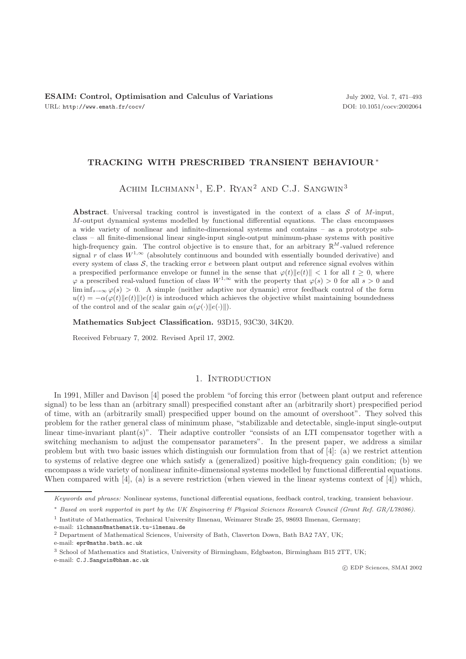# **TRACKING WITH PRESCRIBED TRANSIENT BEHAVIOUR** ∗

ACHIM ILCHMANN<sup>1</sup>, E.P. RYAN<sup>2</sup> AND C.J. SANGWIN<sup>3</sup>

**Abstract**. Universal tracking control is investigated in the context of a class  $S$  of  $M$ -input, M-output dynamical systems modelled by functional differential equations. The class encompasses a wide variety of nonlinear and infinite-dimensional systems and contains – as a prototype subclass – all finite-dimensional linear single-input single-output minimum-phase systems with positive high-frequency gain. The control objective is to ensure that, for an arbitrary  $\mathbb{R}^M$ -valued reference signal r of class  $W^{1,\infty}$  (absolutely continuous and bounded with essentially bounded derivative) and every system of class  $S$ , the tracking error e between plant output and reference signal evolves within a prespecified performance envelope or funnel in the sense that  $\varphi(t) \|e(t)\| < 1$  for all  $t > 0$ , where  $\varphi$  a prescribed real-valued function of class  $W^{1,\infty}$  with the property that  $\varphi(s) > 0$  for all  $s > 0$  and  $\liminf_{s\to\infty} \varphi(s) > 0$ . A simple (neither adaptive nor dynamic) error feedback control of the form  $u(t) = -\alpha(\varphi(t)||e(t))$  is introduced which achieves the objective whilst maintaining boundedness of the control and of the scalar gain  $\alpha(\varphi(\cdot)||e(\cdot)||)$ .

**Mathematics Subject Classification.** 93D15, 93C30, 34K20.

Received February 7, 2002. Revised April 17, 2002.

## 1. Introduction

In 1991, Miller and Davison [4] posed the problem "of forcing this error (between plant output and reference signal) to be less than an (arbitrary small) prespecified constant after an (arbitrarily short) prespecified period of time, with an (arbitrarily small) prespecified upper bound on the amount of overshoot". They solved this problem for the rather general class of minimum phase, "stabilizable and detectable, single-input single-output linear time-invariant plant(s)". Their adaptive controller "consists of an LTI compensator together with a switching mechanism to adjust the compensator parameters". In the present paper, we address a similar problem but with two basic issues which distinguish our formulation from that of [4]: (a) we restrict attention to systems of relative degree one which satisfy a (generalized) positive high-frequency gain condition; (b) we encompass a wide variety of nonlinear infinite-dimensional systems modelled by functional differential equations. When compared with  $[4]$ , (a) is a severe restriction (when viewed in the linear systems context of  $[4]$ ) which,

e-mail: epr@maths.bath.ac.uk

*Keywords and phrases:* Nonlinear systems, functional differential equations, feedback control, tracking, transient behaviour.

<sup>∗</sup> *Based on work supported in part by the UK Engineering & Physical Sciences Research Council (Grant Ref. GR/L78086).*

<sup>1</sup> Institute of Mathematics, Technical University Ilmenau, Weimarer Straße 25, 98693 Ilmenau, Germany;

e-mail: ilchmann@mathematik.tu-ilmenau.de

<sup>2</sup> Department of Mathematical Sciences, University of Bath, Claverton Down, Bath BA2 7AY, UK;

<sup>3</sup> School of Mathematics and Statistics, University of Birmingham, Edgbaston, Birmingham B15 2TT, UK;

e-mail: C.J.Sangwin@bham.ac.uk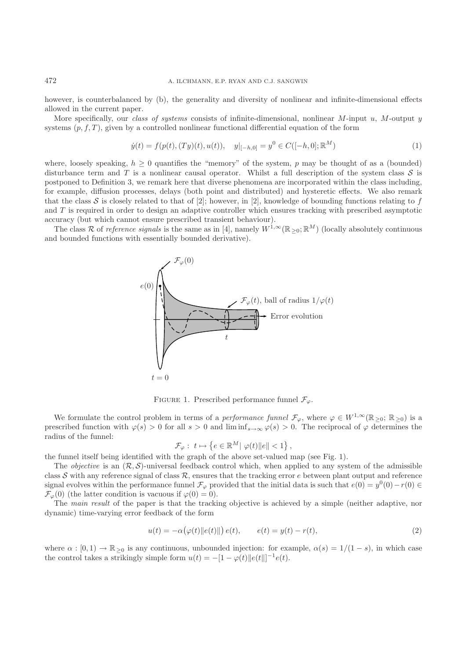however, is counterbalanced by (b), the generality and diversity of nonlinear and infinite-dimensional effects allowed in the current paper.

More specifically, our *class of systems* consists of infinite-dimensional, nonlinear M-input u, M-output y systems  $(p, f, T)$ , given by a controlled nonlinear functional differential equation of the form

$$
\dot{y}(t) = f(p(t), (Ty)(t), u(t)), \quad y|_{[-h,0]} = y^0 \in C([-h, 0]; \mathbb{R}^M)
$$
\n(1)

where, loosely speaking,  $h \geq 0$  quantifies the "memory" of the system, p may be thought of as a (bounded) disturbance term and T is a nonlinear causal operator. Whilst a full description of the system class S is postponed to Definition 3, we remark here that diverse phenomena are incorporated within the class including, for example, diffusion processes, delays (both point and distributed) and hysteretic effects. We also remark that the class S is closely related to that of [2]; however, in [2], knowledge of bounding functions relating to f and T is required in order to design an adaptive controller which ensures tracking with prescribed asymptotic accuracy (but which cannot ensure prescribed transient behaviour).

The class R of *reference signals* is the same as in [4], namely  $W^{1,\infty}(\mathbb{R}_{>0}; \mathbb{R}^{M})$  (locally absolutely continuous and bounded functions with essentially bounded derivative).



FIGURE 1. Prescribed performance funnel  $\mathcal{F}_{\varphi}$ .

We formulate the control problem in terms of a *performance funnel*  $\mathcal{F}_{\varphi}$ , where  $\varphi \in W^{1,\infty}(\mathbb{R}_{\geq 0}; \mathbb{R}_{\geq 0})$  is a prescribed function with  $\varphi(s) > 0$  for all  $s > 0$  and  $\liminf_{s \to \infty} \varphi(s) > 0$ . The reciprocal of  $\varphi$  determines the radius of the funnel:

$$
\mathcal{F}_{\varphi}: t \mapsto \left\{ e \in \mathbb{R}^M \middle| \varphi(t) \middle\| e \middle\| < 1 \right\},\
$$

the funnel itself being identified with the graph of the above set-valued map (see Fig. 1).

The *objective* is an  $(\mathcal{R}, \mathcal{S})$ -universal feedback control which, when applied to any system of the admissible class S with any reference signal of class  $\mathcal R$ , ensures that the tracking error e between plant output and reference signal evolves within the performance funnel  $\mathcal{F}_{\varphi}$  provided that the initial data is such that  $e(0) = y^0(0) - r(0) \in$  $\mathcal{F}_{\varphi}(0)$  (the latter condition is vacuous if  $\varphi(0) = 0$ ).

The *main result* of the paper is that the tracking objective is achieved by a simple (neither adaptive, nor dynamic) time-varying error feedback of the form

$$
u(t) = -\alpha(\varphi(t) \|e(t)\|) e(t), \qquad e(t) = y(t) - r(t), \tag{2}
$$

where  $\alpha : [0,1) \to \mathbb{R}_{\geq 0}$  is any continuous, unbounded injection: for example,  $\alpha(s)=1/(1-s)$ , in which case the control takes a strikingly simple form  $u(t) = -[1 - \varphi(t) ||e(t||]^{-1} e(t)$ .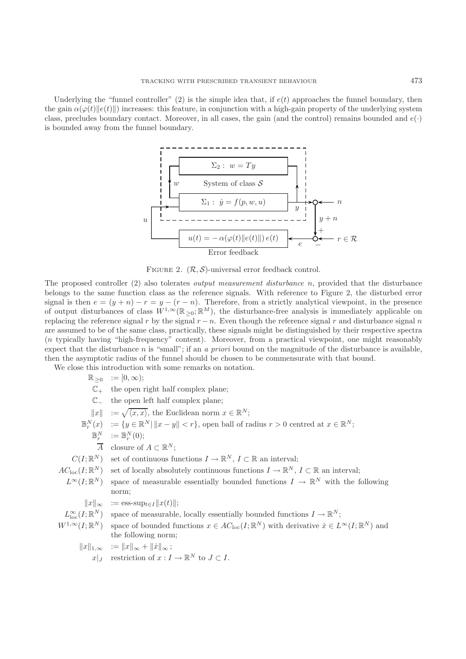Underlying the "funnel controller" (2) is the simple idea that, if  $e(t)$  approaches the funnel boundary, then the gain  $\alpha(\varphi(t)||e(t)||)$  increases: this feature, in conjunction with a high-gain property of the underlying system class, precludes boundary contact. Moreover, in all cases, the gain (and the control) remains bounded and  $e(\cdot)$ is bounded away from the funnel boundary.





The proposed controller (2) also tolerates *output measurement disturbance* n, provided that the disturbance belongs to the same function class as the reference signals. With reference to Figure 2, the disturbed error signal is then  $e = (y + n) - r = y - (r - n)$ . Therefore, from a strictly analytical viewpoint, in the presence of output disturbances of class  $W^{1,\infty}(\mathbb{R}_{\geq 0}; \mathbb{R}^M)$ , the disturbance-free analysis is immediately applicable on replacing the reference signal r by the signal  $r - n$ . Even though the reference signal r and disturbance signal n are assumed to be of the same class, practically, these signals might be distinguished by their respective spectra (n typically having "high-frequency" content). Moreover, from a practical viewpoint, one might reasonably expect that the disturbance n is "small"; if an *a priori* bound on the magnitude of the disturbance is available, then the asymptotic radius of the funnel should be chosen to be commensurate with that bound.

We close this introduction with some remarks on notation.

|                  | $\mathbb{R}_{\geq 0} := [0, \infty);$                                                                                                                          |
|------------------|----------------------------------------------------------------------------------------------------------------------------------------------------------------|
|                  | $\mathbb{C}_+$ the open right half complex plane;                                                                                                              |
| $\mathbb{C}_{-}$ | the open left half complex plane;                                                                                                                              |
|                  | $  x   := \sqrt{\langle x, x \rangle}$ , the Euclidean norm $x \in \mathbb{R}^N$ ;                                                                             |
|                  | $\mathbb{B}_r^N(x) := \{y \in \mathbb{R}^N \mid   x - y   < r\}$ , open ball of radius $r > 0$ centred at $x \in \mathbb{R}^N$ ;                               |
|                  | $\mathbb{B}_r^N := \mathbb{B}_r^N(0);$                                                                                                                         |
|                  | $\overline{A}$ closure of $A \subset \mathbb{R}^N$ ;                                                                                                           |
|                  | $C(I;\mathbb{R}^N)$ set of continuous functions $I \to \mathbb{R}^N$ , $I \subset \mathbb{R}$ an interval;                                                     |
|                  | $AC_{\text{loc}}(I;\mathbb{R}^N)$ set of locally absolutely continuous functions $I \to \mathbb{R}^N$ , $I \subset \mathbb{R}$ an interval;                    |
|                  | $L^{\infty}(I;\mathbb{R}^N)$ space of measurable essentially bounded functions $I \to \mathbb{R}^N$ with the following                                         |
|                  | norm;                                                                                                                                                          |
|                  | $  x  _{\infty}$ := ess-sup <sub>teI</sub> $  x(t)  $ ;                                                                                                        |
|                  | $L^{\infty}_{loc}(I;\mathbb{R}^N)$ space of measurable, locally essentially bounded functions $I \to \mathbb{R}^N$ ;                                           |
|                  | $W^{1,\infty}(I;\mathbb{R}^N)$ space of bounded functions $x \in AC_{\text{loc}}(I;\mathbb{R}^N)$ with derivative $\dot{x} \in L^{\infty}(I;\mathbb{R}^N)$ and |
|                  | the following norm;                                                                                                                                            |
|                  | $  x  _{1,\infty}$ := $  x  _{\infty} +   \dot{x}  _{\infty}$ ;                                                                                                |
|                  | $x _I$ restriction of $x: I \to \mathbb{R}^N$ to $J \subset I$ .                                                                                               |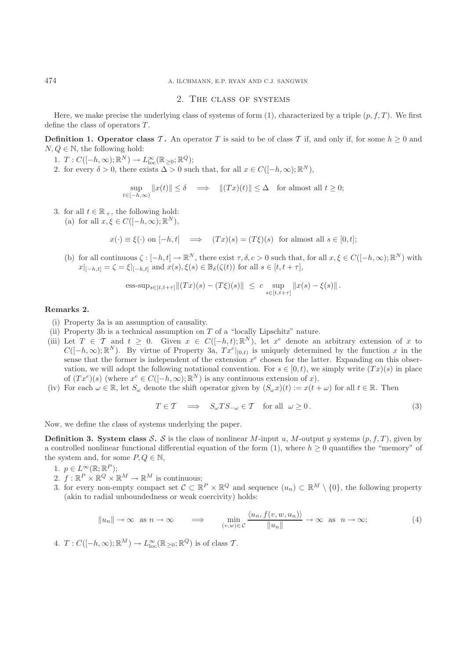#### 2. The class of systems

Here, we make precise the underlying class of systems of form  $(1)$ , characterized by a triple  $(p, f, T)$ . We first define the class of operators  $T$ .

**Definition 1. Operator class T.** An operator T is said to be of class T if, and only if, for some  $h \geq 0$  and  $N,Q \in \mathbb{N}$ , the following hold:

- 1.  $T: C([-h, \infty); \mathbb{R}^N) \to L^{\infty}_{loc}(\mathbb{R}_{\geq 0}; \mathbb{R}^Q);$
- 2. for every  $\delta > 0$ , there exists  $\Delta > 0$  such that, for all  $x \in C([-h,\infty);\mathbb{R}^N)$ ,

$$
\sup_{t\in[-h,\infty)}\|x(t)\|\leq \delta\quad\Longrightarrow\quad \|(Tx)(t)\|\leq \Delta\quad\text{for almost all }t\geq 0;
$$

3. for all  $t \in \mathbb{R}_+$ , the following hold:

(a) for all  $x, \xi \in C([-h, \infty); \mathbb{R}^N)$ ,

$$
x(\cdot) \equiv \xi(\cdot)
$$
 on  $[-h, t]$   $\implies$   $(Tx)(s) = (T\xi)(s)$  for almost all  $s \in [0, t]$ ;

(b) for all continuous  $\zeta : [-h, t] \to \mathbb{R}^N$ , there exist  $\tau, \delta, c > 0$  such that, for all  $x, \xi \in C([-h, \infty); \mathbb{R}^N)$  with  $x|_{[-h,t]} = \zeta = \xi|_{[-h,t]}$  and  $x(s), \xi(s) \in \mathbb{B}_{\delta}(\zeta(t))$  for all  $s \in [t, t + \tau]$ ,

ess-sup<sub>s\in[t,t+\tau]</sub> 
$$
||(Tx)(s) - (T\xi)(s)|| \leq c \sup_{s\in[t,t+\tau]} ||x(s) - \xi(s)||
$$
.

### **Remarks 2.**

- (i) Property 3a is an assumption of causality.
- (ii) Property 3b is a technical assumption on  $T$  of a "locally Lipschitz" nature.
- (iii) Let  $T \in \mathcal{T}$  and  $t \geq 0$ . Given  $x \in C([-h,t);\mathbb{R}^N)$ , let  $x^e$  denote an arbitrary extension of x to  $C([-h,\infty);\mathbb{R}^N)$ . By virtue of Property 3a,  $Tx^e|_{[0,t)}$  is uniquely determined by the function x in the sense that the former is independent of the extension  $x^e$  chosen for the latter. Expanding on this observation, we will adopt the following notational convention. For  $s \in [0, t)$ , we simply write  $(Tx)(s)$  in place of  $(Tx^e)(s)$  (where  $x^e \in C([-h,\infty);\mathbb{R}^N)$  is any continuous extension of x).
- (iv) For each  $\omega \in \mathbb{R}$ , let  $S_{\omega}$  denote the shift operator given by  $(S_{\omega}x)(t) := x(t + \omega)$  for all  $t \in \mathbb{R}$ . Then

$$
T \in \mathcal{T} \quad \Longrightarrow \quad S_{\omega} T S_{-\omega} \in \mathcal{T} \quad \text{for all} \quad \omega \ge 0. \tag{3}
$$

Now, we define the class of systems underlying the paper.

**Definition 3. System class S.** S is the class of nonlinear M-input u, M-output y systems  $(p, f, T)$ , given by a controlled nonlinear functional differential equation of the form (1), where  $h \geq 0$  quantifies the "memory" of the system and, for some  $P, Q \in \mathbb{N}$ ,

- 1.  $p \in L^{\infty}(\mathbb{R}; \mathbb{R}^P);$
- 2.  $f : \mathbb{R}^P \times \mathbb{R}^Q \times \mathbb{R}^M \to \mathbb{R}^M$  is continuous;
- 3. for every non-empty compact set  $\mathcal{C} \subset \mathbb{R}^P \times \mathbb{R}^Q$  and sequence  $(u_n) \subset \mathbb{R}^M \setminus \{0\}$ , the following property (akin to radial unboundedness or weak coercivity) holds:

$$
||u_n|| \to \infty \text{ as } n \to \infty \implies \min_{(v,w)\in\mathcal{C}} \frac{\langle u_n, f(v,w,u_n)\rangle}{||u_n||} \to \infty \text{ as } n \to \infty;
$$
 (4)

4. 
$$
T: C([-h, \infty); \mathbb{R}^M) \to L^{\infty}_{loc}(\mathbb{R}_{\geq 0}; \mathbb{R}^Q)
$$
 is of class  $T$ .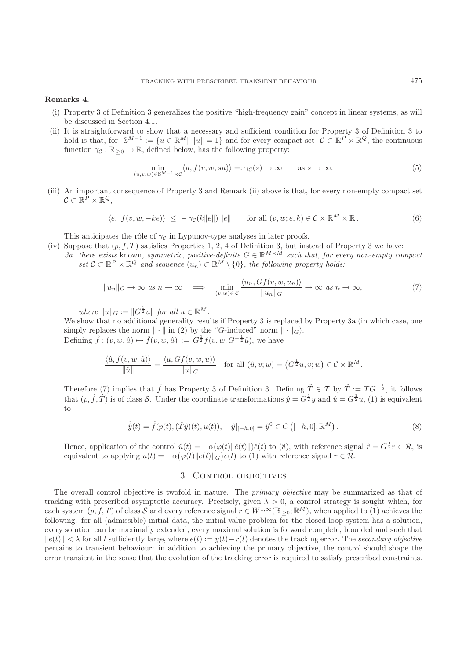# **Remarks 4.**

- (i) Property 3 of Definition 3 generalizes the positive "high-frequency gain" concept in linear systems, as will be discussed in Section 4.1.
- (ii) It is straightforward to show that a necessary and sufficient condition for Property 3 of Definition 3 to hold is that, for  $\mathbb{S}^{M-1} := \{u \in \mathbb{R}^M \mid ||u|| = 1\}$  and for every compact set  $\mathcal{C} \subset \mathbb{R}^P \times \mathbb{R}^Q$ , the continuous function  $\gamma_{\mathcal{C}} : \mathbb{R}_{\geq 0} \to \mathbb{R}$ , defined below, has the following property:

$$
\min_{(u,v,w)\in\mathbb{S}^{M-1}\times\mathcal{C}}\langle u,f(v,w,su)\rangle=:\gamma_{\mathcal{C}}(s)\to\infty\qquad\text{as }s\to\infty.
$$
\n(5)

(iii) An important consequence of Property 3 and Remark (ii) above is that, for every non-empty compact set  $\mathcal{C} \subset \mathbb{R}^P \times \mathbb{R}^Q$ ,

$$
\langle e, f(v, w, -ke) \rangle \le -\gamma_{\mathcal{C}}(k||e||) ||e|| \quad \text{for all } (v, w; e, k) \in \mathcal{C} \times \mathbb{R}^M \times \mathbb{R}.
$$
 (6)

This anticipates the rôle of  $\gamma_c$  in Lypunov-type analyses in later proofs.

(iv) Suppose that  $(p, f, T)$  satisfies Properties 1, 2, 4 of Definition 3, but instead of Property 3 we have: *3a. there exists* known, *symmetric, positive-definite*  $G \in \mathbb{R}^{M \times M}$  *such that, for every non-empty compact set*  $\mathcal{C} \subset \mathbb{R}^P \times \mathbb{R}^Q$  *and sequence*  $(u_n) \subset \mathbb{R}^M \setminus \{0\}$ *, the following property holds:* 

$$
||u_n||_G \to \infty \text{ as } n \to \infty \implies \min_{(v,w)\in C} \frac{\langle u_n, Gf(v,w,u_n) \rangle}{||u_n||_G} \to \infty \text{ as } n \to \infty,
$$
 (7)

*where*  $||u||_G := ||G^{\frac{1}{2}}u||$  *for all*  $u \in \mathbb{R}^M$ *.* 

We show that no additional generality results if Property 3 is replaced by Property 3a (in which case, one simply replaces the norm  $\|\cdot\|$  in (2) by the "G-induced" norm  $\|\cdot\|_G$ ). Defining  $\hat{f} : (v, w, \hat{u}) \mapsto \hat{f}(v, w, \hat{u}) := G^{\frac{1}{2}}f(v, w, G^{-\frac{1}{2}}\hat{u}),$  we have

$$
\frac{\langle \hat{u}, \hat{f}(v, w, \hat{u}) \rangle}{\|\hat{u}\|} = \frac{\langle u, Gf(v, w, u) \rangle}{\|u\|_G} \quad \text{for all } (\hat{u}, v; w) = \left(G^{\frac{1}{2}}u, v; w\right) \in \mathcal{C} \times \mathbb{R}^M.
$$

Therefore (7) implies that  $\hat{f}$  has Property 3 of Definition 3. Defining  $\hat{T} \in \mathcal{T}$  by  $\hat{T} := TG^{-\frac{1}{2}}$ , it follows that  $(p, \hat{f}, \hat{T})$  is of class S. Under the coordinate transformations  $\hat{y} = G^{\frac{1}{2}}y$  and  $\hat{u} = G^{\frac{1}{2}}u$ , (1) is equivalent to

$$
\dot{\hat{y}}(t) = \hat{f}(p(t), (\hat{T}\hat{y})(t), \hat{u}(t)), \quad \hat{y}|_{[-h,0]} = \hat{y}^0 \in C([-h,0];\mathbb{R}^M).
$$
\n(8)

Hence, application of the control  $\hat{u}(t) = -\alpha(\varphi(t) ||\hat{e}(t) ||)\hat{e}(t)$  to (8), with reference signal  $\hat{r} = G^{\frac{1}{2}}r \in \mathcal{R}$ , is equivalent to applying  $u(t) = -\alpha(\varphi(t) \|e(t)\|_G) e(t)$  to (1) with reference signal  $r \in \mathcal{R}$ .

# 3. Control objectives

The overall control objective is twofold in nature. The *primary objective* may be summarized as that of tracking with prescribed asymptotic accuracy. Precisely, given  $\lambda > 0$ , a control strategy is sought which, for each system  $(p, f, T)$  of class S and every reference signal  $r \in W^{1,\infty}(\mathbb{R}_{\geq 0}; \mathbb{R}^M)$ , when applied to (1) achieves the following: for all (admissible) initial data, the initial-value problem for the closed-loop system has a solution, every solution can be maximally extended, every maximal solution is forward complete, bounded and such that  $||e(t)|| < \lambda$  for all t sufficiently large, where  $e(t) := y(t) - r(t)$  denotes the tracking error. The *secondary objective* pertains to transient behaviour: in addition to achieving the primary objective, the control should shape the error transient in the sense that the evolution of the tracking error is required to satisfy prescribed constraints.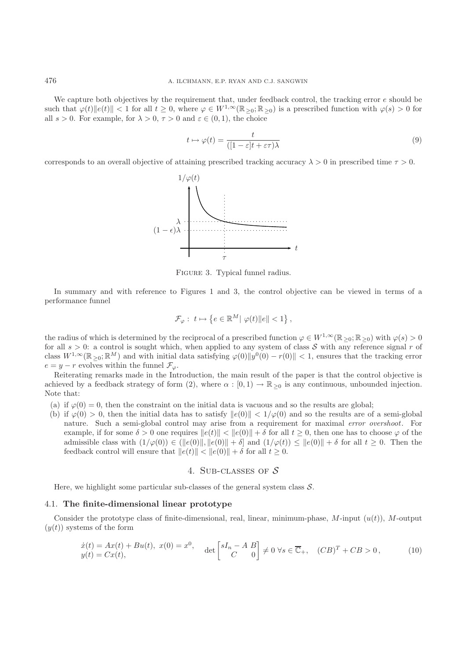We capture both objectives by the requirement that, under feedback control, the tracking error e should be such that  $\varphi(t) \|e(t)\| < 1$  for all  $t \geq 0$ , where  $\varphi \in W^{1,\infty}(\mathbb{R}_{\geq 0}; \mathbb{R}_{\geq 0})$  is a prescribed function with  $\varphi(s) > 0$  for all  $s > 0$ . For example, for  $\lambda > 0$ ,  $\tau > 0$  and  $\varepsilon \in (0, 1)$ , the choice

$$
t \mapsto \varphi(t) = \frac{t}{([1 - \varepsilon]t + \varepsilon\tau)\lambda} \tag{9}
$$

corresponds to an overall objective of attaining prescribed tracking accuracy  $\lambda > 0$  in prescribed time  $\tau > 0$ .



Figure 3. Typical funnel radius.

In summary and with reference to Figures 1 and 3, the control objective can be viewed in terms of a performance funnel

$$
\mathcal{F}_{\varphi}: t \mapsto \left\{ e \in \mathbb{R}^M \middle| \varphi(t) \middle\| e \middle\| < 1 \right\},\
$$

the radius of which is determined by the reciprocal of a prescribed function  $\varphi \in W^{1,\infty}(\mathbb{R}_{\geq 0}; \mathbb{R}_{\geq 0})$  with  $\varphi(s) > 0$ for all  $s > 0$ : a control is sought which, when applied to any system of class S with any reference signal r of class  $W^{1,\infty}(\mathbb{R}_{\geq 0}; \mathbb{R}^M)$  and with initial data satisfying  $\varphi(0) \|y^0(0) - r(0)\| < 1$ , ensures that the tracking error  $e = y - r$  evolves within the funnel  $\mathcal{F}_{\varphi}$ .

Reiterating remarks made in the Introduction, the main result of the paper is that the control objective is achieved by a feedback strategy of form (2), where  $\alpha : [0,1) \to \mathbb{R}_{\geq 0}$  is any continuous, unbounded injection. Note that:

- (a) if  $\varphi(0) = 0$ , then the constraint on the initial data is vacuous and so the results are global;
- (b) if  $\varphi(0) > 0$ , then the initial data has to satisfy  $||e(0)|| < 1/\varphi(0)$  and so the results are of a semi-global nature. Such a semi-global control may arise from a requirement for maximal *error overshoot*. For example, if for some  $\delta > 0$  one requires  $||e(t)|| < ||e(0)|| + \delta$  for all  $t \ge 0$ , then one has to choose  $\varphi$  of the admissible class with  $(1/\varphi(0)) \in (||e(0)||, ||e(0)|| + \delta]$  and  $(1/\varphi(t)) \leq ||e(0)|| + \delta$  for all  $t \geq 0$ . Then the feedback control will ensure that  $||e(t)|| < ||e(0)|| + \delta$  for all  $t \geq 0$ .

## 4. SUB-CLASSES OF  $S$

Here, we highlight some particular sub-classes of the general system class  $S$ .

#### 4.1. **The finite-dimensional linear prototype**

Consider the prototype class of finite-dimensional, real, linear, minimum-phase,  $M$ -input  $(u(t))$ , M-output  $(y(t))$  systems of the form

$$
\begin{aligned}\n\dot{x}(t) &= Ax(t) + Bu(t), \ x(0) = x^0, \\
y(t) &= Cx(t),\n\end{aligned}\n\quad \text{det}\n\begin{bmatrix}\nsI_n - A \ B \\ C \end{bmatrix}\n\neq 0 \ \forall s \in \overline{\mathbb{C}}_+, \ (CB)^T + CB > 0,\n\tag{10}
$$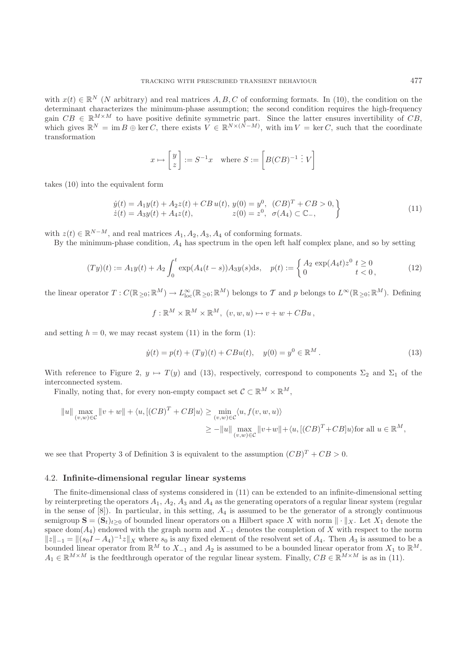with  $x(t) \in \mathbb{R}^N$  (N arbitrary) and real matrices  $A, B, C$  of conforming formats. In (10), the condition on the determinant characterizes the minimum-phase assumption; the second condition requires the high-frequency gain  $CB \in \mathbb{R}^{M \times M}$  to have positive definite symmetric part. Since the latter ensures invertibility of  $CB$ , which gives  $\mathbb{R}^N = \text{im } B \oplus \text{ker } C$ , there exists  $V \in \mathbb{R}^{N \times (N-M)}$ , with  $\text{im } V = \text{ker } C$ , such that the coordinate transformation

$$
x \mapsto \begin{bmatrix} y \\ z \end{bmatrix} := S^{-1}x
$$
 where  $S := \begin{bmatrix} B(CB)^{-1} : V \end{bmatrix}$ 

takes (10) into the equivalent form

$$
\begin{aligned}\n\dot{y}(t) &= A_1 y(t) + A_2 z(t) + CB \, u(t), \, y(0) = y^0, \, (CB)^T + CB > 0, \\
\dot{z}(t) &= A_3 y(t) + A_4 z(t), \qquad z(0) = z^0, \, \sigma(A_4) \subset \mathbb{C}_-, \\
\end{aligned} \tag{11}
$$

with  $z(t) \in \mathbb{R}^{N-M}$ , and real matrices  $A_1, A_2, A_3, A_4$  of conforming formats.

By the minimum-phase condition,  $A_4$  has spectrum in the open left half complex plane, and so by setting

$$
(Ty)(t) := A_1 y(t) + A_2 \int_0^t \exp(A_4(t-s)) A_3 y(s) ds, \quad p(t) := \begin{cases} A_2 \exp(A_4 t) z^0 \ t \ge 0\\ 0 \ t < 0, \end{cases}
$$
 (12)

the linear operator  $T: C(\mathbb{R}_{\geq 0}; \mathbb{R}^M) \to L^{\infty}_{loc}(\mathbb{R}_{\geq 0}; \mathbb{R}^M)$  belongs to  $T$  and  $p$  belongs to  $L^{\infty}(\mathbb{R}_{\geq 0}; \mathbb{R}^M)$ . Defining

$$
f: \mathbb{R}^M \times \mathbb{R}^M \times \mathbb{R}^M
$$
,  $(v, w, u) \mapsto v + w + CBu$ ,

and setting  $h = 0$ , we may recast system (11) in the form (1):

$$
\dot{y}(t) = p(t) + (Ty)(t) + CBu(t), \quad y(0) = y^0 \in \mathbb{R}^M.
$$
\n(13)

With reference to Figure 2,  $y \mapsto T(y)$  and (13), respectively, correspond to components  $\Sigma_2$  and  $\Sigma_1$  of the interconnected system.

Finally, noting that, for every non-empty compact set  $C \subset \mathbb{R}^M \times \mathbb{R}^M$ ,

$$
||u|| \max_{(v,w)\in\mathcal{C}} ||v+w|| + \langle u, [(\mathcal{C}B)^T + \mathcal{C}B]u \rangle \ge \min_{(v,w)\in\mathcal{C}} \langle u, f(v,w,u) \rangle
$$
  
 
$$
\ge -||u|| \max_{(v,w)\in\mathcal{C}} ||v+w|| + \langle u, [(\mathcal{C}B)^T + \mathcal{C}B]u \rangle \text{ for all } u \in \mathbb{R}^M,
$$

we see that Property 3 of Definition 3 is equivalent to the assumption  $(CB)^T + CB > 0$ .

#### 4.2. **Infinite-dimensional regular linear systems**

The finite-dimensional class of systems considered in (11) can be extended to an infinite-dimensional setting by reinterpreting the operators  $A_1$ ,  $A_2$ ,  $A_3$  and  $A_4$  as the generating operators of a regular linear system (regular in the sense of  $[8]$ ). In particular, in this setting,  $A_4$  is assumed to be the generator of a strongly continuous semigroup  $\mathbf{S} = (\mathbf{S}_t)_{t>0}$  of bounded linear operators on a Hilbert space X with norm  $\|\cdot\|_X$ . Let  $X_1$  denote the space dom( $A_4$ ) endowed with the graph norm and  $X_{-1}$  denotes the completion of X with respect to the norm  $||z||_{-1} = ||(s_0I - A_4)^{-1}z||_X$  where  $s_0$  is any fixed element of the resolvent set of  $A_4$ . Then  $A_3$  is assumed to be a bounded linear operator from  $\mathbb{R}^M$  to  $X_{-1}$  and  $A_2$  is assumed to be a bounded linear operator from  $X_1$  to  $\mathbb{R}^M$ .  $A_1 \in \mathbb{R}^{M \times M}$  is the feedthrough operator of the regular linear system. Finally,  $CB \in \mathbb{R}^{M \times M}$  is as in (11).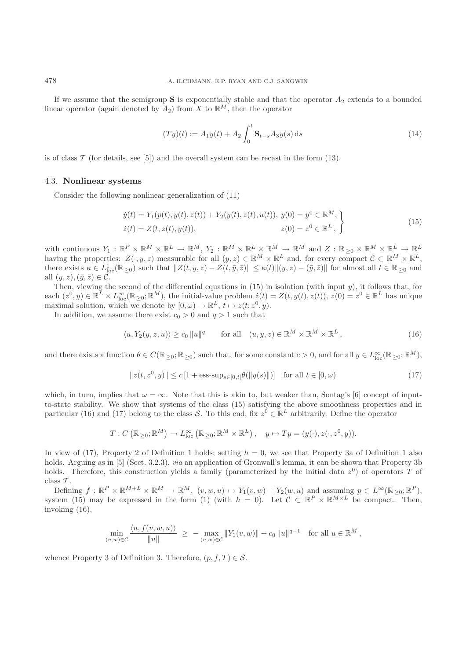If we assume that the semigroup **S** is exponentially stable and that the operator  $A_2$  extends to a bounded linear operator (again denoted by  $A_2$ ) from X to  $\mathbb{R}^M$ , then the operator

$$
(Ty)(t) := A_1 y(t) + A_2 \int_0^t \mathbf{S}_{t-s} A_3 y(s) \, ds \tag{14}
$$

is of class  $\mathcal T$  (for details, see [5]) and the overall system can be recast in the form (13).

#### 4.3. **Nonlinear systems**

Consider the following nonlinear generalization of (11)

$$
\dot{y}(t) = Y_1(p(t), y(t), z(t)) + Y_2(y(t), z(t), u(t)), y(0) = y^0 \in \mathbb{R}^M, \n\dot{z}(t) = Z(t, z(t), y(t)), \qquad z(0) = z^0 \in \mathbb{R}^L,
$$
\n(15)

with continuous  $Y_1 : \mathbb{R}^P \times \mathbb{R}^M \times \mathbb{R}^L \to \mathbb{R}^M$ ,  $Y_2 : \mathbb{R}^M \times \mathbb{R}^L \times \mathbb{R}^M \to \mathbb{R}^M$  and  $Z : \mathbb{R}_{\geq 0} \times \mathbb{R}^M \times \mathbb{R}^L \to \mathbb{R}^L$ having the properties:  $Z(\cdot, y, z)$  measurable for all  $(y, z) \in \mathbb{R}^M \times \mathbb{R}^L$  and, for every compact  $\mathcal{C} \subset \mathbb{R}^M \times \mathbb{R}^L$ , there exists  $\kappa \in L^1_{loc}(\mathbb{R}_{\geq 0})$  such that  $||Z(t, y, z) - Z(t, \bar{y}, \bar{z})|| \leq \kappa(t) ||(y, z) - (\bar{y}, \bar{z})||$  for almost all  $t \in \mathbb{R}_{\geq 0}$  and all  $(y, z), (\bar{y}, \bar{z}) \in \mathcal{C}$ .

Then, viewing the second of the differential equations in  $(15)$  in isolation (with input y), it follows that, for each  $(z^0, y) \in \mathbb{R}^L \times L^{\infty}_{loc}(\mathbb{R}_{\geq 0}; \mathbb{R}^M)$ , the initial-value problem  $\dot{z}(t) = Z(t, y(t), z(t))$ ,  $z(0) = z^0 \in \mathbb{R}^L$  has unique maximal solution, which we denote by  $[0, \omega) \to \mathbb{R}^L$ ,  $t \mapsto z(t; z^0, y)$ .

In addition, we assume there exist  $c_0 > 0$  and  $q > 1$  such that

$$
\langle u, Y_2(y, z, u) \rangle \ge c_0 \|u\|^q \quad \text{for all} \quad (u, y, z) \in \mathbb{R}^M \times \mathbb{R}^M \times \mathbb{R}^L,
$$
\n
$$
(16)
$$

and there exists a function  $\theta \in C(\mathbb{R}_{\geq 0}; \mathbb{R}_{\geq 0})$  such that, for some constant  $c > 0$ , and for all  $y \in L^{\infty}_{loc}(\mathbb{R}_{\geq 0}; \mathbb{R}^M)$ ,

$$
||z(t, z^{0}, y)|| \le c [1 + \text{ess-sup}_{s \in [0, t]} \theta(||y(s)||)] \quad \text{for all } t \in [0, \omega)
$$
 (17)

which, in turn, implies that  $\omega = \infty$ . Note that this is akin to, but weaker than, Sontag's [6] concept of inputto-state stability. We show that systems of the class (15) satisfying the above smoothness properties and in particular (16) and (17) belong to the class S. To this end, fix  $z^0 \in \mathbb{R}^L$  arbitrarily. Define the operator

$$
T: C\left(\mathbb{R}_{\geq 0}; \mathbb{R}^M\right) \to L_{\text{loc}}^{\infty}\left(\mathbb{R}_{\geq 0}; \mathbb{R}^M \times \mathbb{R}^L\right), \quad y \mapsto Ty = (y(\cdot), z(\cdot, z^0, y)).
$$

In view of (17), Property 2 of Definition 1 holds; setting  $h = 0$ , we see that Property 3a of Definition 1 also holds. Arguing as in [5] (Sect. 3.2.3), *via* an application of Gronwall's lemma, it can be shown that Property 3b holds. Therefore, this construction yields a family (parameterized by the initial data  $z^0$ ) of operators T of class  $\mathcal{T}$ .

Defining  $f: \mathbb{R}^P \times \mathbb{R}^{M+L} \times \mathbb{R}^M \to \mathbb{R}^M$ ,  $(v, w, u) \mapsto Y_1(v, w) + Y_2(w, u)$  and assuming  $p \in L^{\infty}(\mathbb{R}_{\geq 0}; \mathbb{R}^P)$ , system (15) may be expressed in the form (1) (with  $h = 0$ ). Let  $\mathcal{C} \subset \mathbb{R}^P \times \mathbb{R}^{M \times L}$  be compact. Then, invoking (16),

$$
\min_{(v,w)\in\mathcal{C}}\frac{\langle u, f(v,w,u)\rangle}{\|u\|} \ \geq \ -\max_{(v,w)\in\mathcal{C}}\|Y_1(v,w)\| + c_0\|u\|^{q-1} \quad \text{for all } u\in\mathbb{R}^M,
$$

whence Property 3 of Definition 3. Therefore,  $(p, f, T) \in \mathcal{S}$ .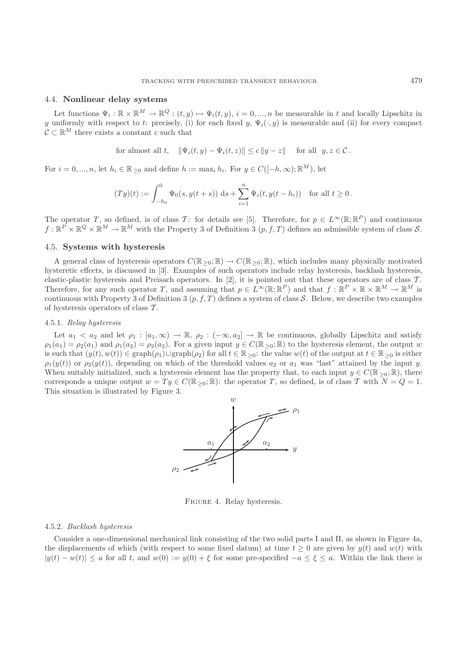### 4.4. **Nonlinear delay systems**

Let functions  $\Psi_i : \mathbb{R} \times \mathbb{R}^M \to \mathbb{R}^Q : (t, y) \mapsto \Psi_i(t, y), i = 0, ..., n$  be measurable in t and locally Lipschitz in y uniformly with respect to t: precisely, (i) for each fixed y,  $\Psi_i(\cdot, y)$  is measurable and (ii) for every compact  $\mathcal{C} \subset \mathbb{R}^M$  there exists a constant c such that

for almost all 
$$
t
$$
,  $\|\Psi_i(t, y) - \Psi_i(t, z)\| \le c \|y - z\|$  for all  $y, z \in \mathcal{C}$ .

For  $i = 0, ..., n$ , let  $h_i \in \mathbb{R}_{\geq 0}$  and define  $h := \max_i h_i$ . For  $y \in C([-h, \infty); \mathbb{R}^M)$ , let

$$
(Ty)(t) := \int_{-h_0}^0 \Psi_0(s, y(t+s)) \, ds + \sum_{i=1}^n \Psi_i(t, y(t-h_i)) \quad \text{for all } t \ge 0.
$$

The operator T, so defined, is of class T: for details see [5]. Therefore, for  $p \in L^{\infty}(\mathbb{R}; \mathbb{R}^{P})$  and continuous  $f: \mathbb{R}^P \times \mathbb{R}^Q \times \mathbb{R}^M \to \mathbb{R}^M$  with the Property 3 of Definition 3  $(p, f, T)$  defines an admissible system of class S.

#### 4.5. **Systems with hysteresis**

A general class of hysteresis operators  $C(\mathbb{R}_{\geq 0}; \mathbb{R}) \to C(\mathbb{R}_{\geq 0}; \mathbb{R})$ , which includes many physically motivated hysteretic effects, is discussed in [3]. Examples of such operators include relay hysteresis, backlash hysteresis, elastic-plastic hysteresis and Preisach operators. In [2], it is pointed out that these operators are of class  $\mathcal{T}$ . Therefore, for any such operator T, and assuming that  $p \in L^{\infty}(\mathbb{R}; \mathbb{R}^P)$  and that  $f : \mathbb{R}^P \times \mathbb{R} \times \mathbb{R}^M \to \mathbb{R}^M$  is continuous with Property 3 of Definition 3  $(p, f, T)$  defines a system of class S. Below, we describe two examples of hysteresis operators of class T .

### 4.5.1. *Relay hysteresis*

Let  $a_1 < a_2$  and let  $\rho_1 : [a_1, \infty) \to \mathbb{R}$ ,  $\rho_2 : (-\infty, a_2] \to \mathbb{R}$  be continuous, globally Lipschitz and satisfy  $\rho_1(a_1) = \rho_2(a_1)$  and  $\rho_1(a_2) = \rho_2(a_2)$ . For a given input  $y \in C(\mathbb{R}_{\geq 0}; \mathbb{R})$  to the hysteresis element, the output w is such that  $(y(t), w(t)) \in \text{graph}(\rho_1) \cup \text{graph}(\rho_2)$  for all  $t \in \mathbb{R}_{\geq 0}$ : the value  $w(t)$  of the output at  $t \in \mathbb{R}_{\geq 0}$  is either  $\rho_1(y(t))$  or  $\rho_2(y(t))$ , depending on which of the threshold values  $a_2$  or  $a_1$  was "last" attained by the input y. When suitably initialized, such a hysteresis element has the property that, to each input  $y \in C(\mathbb{R}_{\geq 0}; \mathbb{R})$ , there corresponds a unique output  $w = Ty \in C(\mathbb{R}_{\geq 0}; \mathbb{R})$ : the operator T, so defined, is of class T with  $N = Q = 1$ . This situation is illustrated by Figure 3.



Figure 4. Relay hysteresis.

### 4.5.2. *Backlash hysteresis*

Consider a one-dimensional mechanical link consisting of the two solid parts I and II, as shown in Figure 4a, the displacements of which (with respect to some fixed datum) at time  $t \geq 0$  are given by  $y(t)$  and  $w(t)$  with  $|y(t) - w(t)| \le a$  for all t, and  $w(0) := y(0) + \xi$  for some pre-specified  $-a \le \xi \le a$ . Within the link there is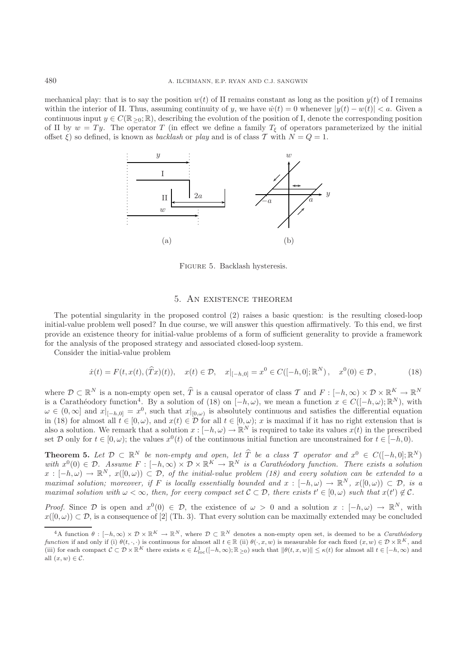mechanical play: that is to say the position  $w(t)$  of II remains constant as long as the position  $y(t)$  of I remains within the interior of II. Thus, assuming continuity of y, we have  $\dot{w}(t) = 0$  whenever  $|y(t) - w(t)| < a$ . Given a continuous input  $y \in C(\mathbb{R}_{\geq 0}; \mathbb{R})$ , describing the evolution of the position of I, denote the corresponding position of II by  $w = Ty$ . The operator T (in effect we define a family  $T_{\xi}$  of operators parameterized by the initial offset  $\xi$ ) so defined, is known as *backlash* or *play* and is of class T with  $N = Q = 1$ .



Figure 5. Backlash hysteresis.

## 5. An existence theorem

The potential singularity in the proposed control (2) raises a basic question: is the resulting closed-loop initial-value problem well posed? In due course, we will answer this question affirmatively. To this end, we first provide an existence theory for initial-value problems of a form of sufficient generality to provide a framework for the analysis of the proposed strategy and associated closed-loop system.

Consider the initial-value problem

$$
\dot{x}(t) = F(t, x(t), (\hat{T}x)(t)), \quad x(t) \in \mathcal{D}, \quad x|_{[-h,0]} = x^0 \in C([-h,0]; \mathbb{R}^N), \quad x^0(0) \in \mathcal{D}, \tag{18}
$$

where  $\mathcal{D} \subset \mathbb{R}^N$  is a non-empty open set,  $\hat{T}$  is a causal operator of class  $\mathcal{T}$  and  $F: [-h, \infty) \times \mathcal{D} \times \mathbb{R}^K \to \mathbb{R}^N$ is a Carathéodory function<sup>4</sup>. By a solution of (18) on  $[-h, \omega)$ , we mean a function  $x \in C([-h, \omega); \mathbb{R}^N)$ , with  $\omega \in (0,\infty]$  and  $x|_{[-h,0]} = x^0$ , such that  $x|_{[0,\omega)}$  is absolutely continuous and satisfies the differential equation in (18) for almost all  $t \in [0, \omega)$ , and  $x(t) \in \mathcal{D}$  for all  $t \in [0, \omega)$ ; x is maximal if it has no right extension that is also a solution. We remark that a solution  $x : [-h, \omega) \to \mathbb{R}^N$  is required to take its values  $x(t)$  in the prescribed set D only for  $t \in [0, \omega)$ ; the values  $x^0(t)$  of the continuous initial function are unconstrained for  $t \in [-h, 0)$ .

**Theorem 5.** Let  $\mathcal{D} \subset \mathbb{R}^N$  be non-empty and open, let  $\widehat{T}$  be a class  $\mathcal{T}$  operator and  $x^0 \in C([-h, 0]; \mathbb{R}^N)$ *with*  $x^0(0) \in \mathcal{D}$ . Assume  $F : [-h, \infty) \times \mathcal{D} \times \mathbb{R}^K \to \mathbb{R}^N$  *is a Carathéodory function. There exists a solution*  $x: [-h, \omega) \to \mathbb{R}^N$ ,  $x([0, \omega)) \subset \mathcal{D}$ , of the initial-value problem (18) and every solution can be extended to a *maximal solution; moreover, if* F *is locally essentially bounded and*  $x : [-h, \omega) \to \mathbb{R}^N$ ,  $x([0, \omega)) \subset \mathcal{D}$ , is a *maximal solution with*  $\omega < \infty$ , then, for every compact set  $\mathcal{C} \subset \mathcal{D}$ , there exists  $t' \in [0, \omega)$  such that  $x(t') \notin \mathcal{C}$ .

*Proof.* Since  $\mathcal{D}$  is open and  $x^0(0) \in \mathcal{D}$ , the existence of  $\omega > 0$  and a solution  $x : [-h, \omega) \to \mathbb{R}^N$ , with  $x([0,\omega)) \subset \mathcal{D}$ , is a consequence of [2] (Th. 3). That every solution can be maximally extended may be concluded

 ${}^4A$  function  $\theta : [-h,\infty) \times \mathcal{D} \times \mathbb{R}^K \to \mathbb{R}^N$ , where  $\mathcal{D} \subset \mathbb{R}^N$  denotes a non-empty open set, is deemed to be a *Carathéodory function* if and only if (i)  $\theta(t, \cdot, \cdot)$  is continuous for almost all  $t \in \mathbb{R}$  (ii)  $\theta(\cdot, x, w)$  is measurable for each fixed  $(x, w) \in \mathcal{D} \times \mathbb{R}^K$ , and (iii) for each compact  $C \subset \mathcal{D} \times \mathbb{R}^K$  there exists  $\kappa \in L^1_{loc}([-h,\infty);\mathbb{R}_{\geq 0})$  such that  $\|\theta(t,x,w)\| \leq \kappa(t)$  for almost all  $t \in [-h,\infty)$  and all  $(x, w) \in \mathcal{C}$ .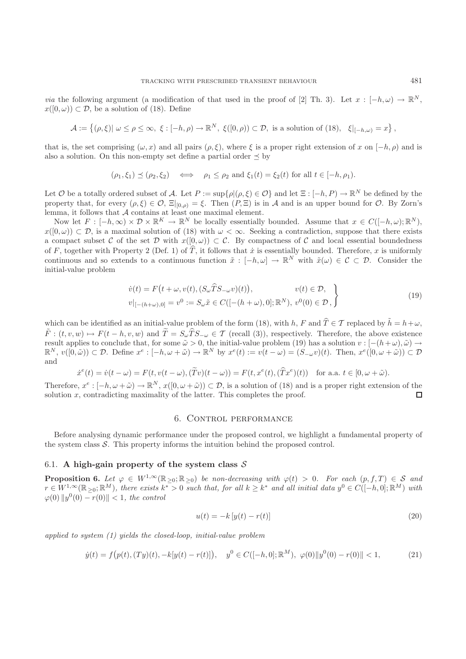*via* the following argument (a modification of that used in the proof of [2] Th. 3). Let  $x : [-h, \omega) \to \mathbb{R}^N$ ,  $x([0,\omega)) \subset \mathcal{D}$ , be a solution of (18). Define

$$
\mathcal{A} := \left\{ (\rho, \xi) | \omega \le \rho \le \infty, \ \xi : [-h, \rho) \to \mathbb{R}^N, \ \xi([0, \rho)) \subset \mathcal{D}, \text{ is a solution of (18)}, \ \xi|_{[-h, \omega)} = x \right\},\
$$

that is, the set comprising  $(\omega, x)$  and all pairs  $(\rho, \xi)$ , where  $\xi$  is a proper right extension of x on  $[-h, \rho)$  and is also a solution. On this non-empty set define a partial order  $\preceq$  by

$$
(\rho_1, \xi_1) \preceq (\rho_2, \xi_2) \iff \rho_1 \le \rho_2 \text{ and } \xi_1(t) = \xi_2(t) \text{ for all } t \in [-h, \rho_1).
$$

Let O be a totally ordered subset of A. Let  $P := \sup\{\rho | (\rho, \xi) \in \mathcal{O}\}\$ and let  $\Xi : [-h, P) \to \mathbb{R}^N$  be defined by the property that, for every  $(\rho, \xi) \in \mathcal{O}$ ,  $\Xi|_{[0,\rho)} = \xi$ . Then  $(P, \Xi)$  is in A and is an upper bound for O. By Zorn's lemma, it follows that  $A$  contains at least one maximal element.

Now let  $F : [-h, \infty) \times \mathcal{D} \times \mathbb{R}^K \to \mathbb{R}^N$  be locally essentially bounded. Assume that  $x \in C([-h, \omega): \mathbb{R}^N)$ ,  $x([0,\omega)) \subset \mathcal{D}$ , is a maximal solution of (18) with  $\omega < \infty$ . Seeking a contradiction, suppose that there exists a compact subset C of the set D with  $x([0,\omega)) \subset C$ . By compactness of C and local essential boundedness of F, together with Property 2 (Def. 1) of  $\hat{T}$ , it follows that  $\dot{x}$  is essentially bounded. Therefore, x is uniformly continuous and so extends to a continuous function  $\tilde{x} : [-h, \omega] \to \mathbb{R}^N$  with  $\tilde{x}(\omega) \in \mathcal{C} \subset \mathcal{D}$ . Consider the initial-value problem

$$
\dot{v}(t) = F(t + \omega, v(t), (S_{\omega}\hat{T}S_{-\omega}v)(t)), \qquad v(t) \in \mathcal{D},
$$
  
\n
$$
v|_{[-(h+\omega),0]} = v^0 := S_{\omega}\tilde{x} \in C([- (h+\omega),0]; \mathbb{R}^N), v^0(0) \in \mathcal{D},
$$
\n
$$
(19)
$$

which can be identified as an initial-value problem of the form (18), with h, F and  $\hat{T} \in \mathcal{T}$  replaced by  $\tilde{h} = h + \omega$ ,  $\tilde{F}$ :  $(t, v, w) \mapsto F(t - h, v, w)$  and  $\tilde{T} = S_{\omega} \hat{T} S_{-\omega} \in \mathcal{T}$  (recall (3)), respectively. Therefore, the above existence result applies to conclude that, for some  $\tilde{\omega} > 0$ , the initial-value problem (19) has a solution  $v : [-(h+\omega), \tilde{\omega}) \rightarrow$  $\mathbb{R}^N$ ,  $v([0,\tilde{\omega})) \subset \mathcal{D}$ . Define  $x^e : [-h,\omega+\tilde{\omega}) \to \mathbb{R}^N$  by  $x^e(t) := v(t-\omega) = (S_{-\omega}v)(t)$ . Then,  $x^e([0,\omega+\tilde{\omega})) \subset \mathcal{D}$ and

$$
\dot{x}^e(t) = \dot{v}(t - \omega) = F(t, v(t - \omega), (\tilde{T}v)(t - \omega)) = F(t, x^e(t), (\tilde{T}x^e)(t)) \text{ for a.a. } t \in [0, \omega + \tilde{\omega}).
$$

Therefore,  $x^e : [-h, \omega + \tilde{\omega}) \to \mathbb{R}^N$ ,  $x([0, \omega + \tilde{\omega})) \subset \mathcal{D}$ , is a solution of (18) and is a proper right extension of the solution  $x$ , contradicting maximality of the latter. This completes the proof.  $\Box$ 

# 6. Control performance

Before analysing dynamic performance under the proposed control, we highlight a fundamental property of the system class S. This property informs the intuition behind the proposed control.

### 6.1. A high-gain property of the system class  $S$

**Proposition 6.** Let  $\varphi \in W^{1,\infty}(\mathbb{R}_{\geq 0}; \mathbb{R}_{\geq 0})$  be non-decreasing with  $\varphi(t) > 0$ . For each  $(p, f, T) \in \mathcal{S}$  and  $r \in W^{1,\infty}(\mathbb{R}_{\geq 0}; \mathbb{R}^M)$ , there exists  $k^* > 0$  such that, for all  $k \geq k^*$  and all initial data  $y^0 \in C([-h, 0]; \mathbb{R}^M)$  with  $\varphi(0) \|y^0(0) - r(0)\| < 1$ , the control

$$
u(t) = -k [y(t) - r(t)]
$$
\n(20)

*applied to system (1) yields the closed-loop, initial-value problem*

$$
\dot{y}(t) = f\big(p(t), (Ty)(t), -k[y(t) - r(t)]\big), \quad y^0 \in C([-h, 0]; \mathbb{R}^M), \ \varphi(0) \|y^0(0) - r(0)\| < 1,\tag{21}
$$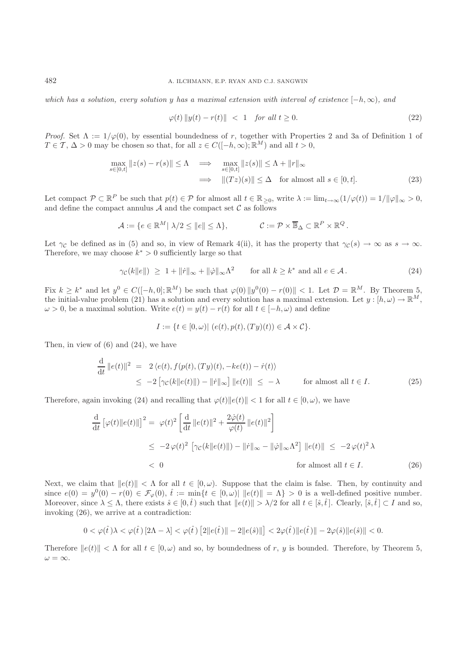*which has a solution, every solution* y *has a maximal extension with interval of existence*  $[-h, \infty)$ *, and* 

$$
\varphi(t) \|y(t) - r(t)\| < 1 \quad \text{for all } t \ge 0. \tag{22}
$$

*Proof.* Set  $\Lambda := 1/\varphi(0)$ , by essential boundedness of r, together with Properties 2 and 3a of Definition 1 of  $T \in \mathcal{T}, \Delta > 0$  may be chosen so that, for all  $z \in C([-h,\infty);\mathbb{R}^M)$  and all  $t > 0$ ,

$$
\max_{s \in [0,t]} \|z(s) - r(s)\| \le \Lambda \implies \max_{s \in [0,t]} \|z(s)\| \le \Lambda + \|r\|_{\infty}
$$
  

$$
\implies \| (Tz)(s) \| \le \Delta \quad \text{for almost all } s \in [0,t].
$$
 (23)

Let compact  $\mathcal{P} \subset \mathbb{R}^P$  be such that  $p(t) \in \mathcal{P}$  for almost all  $t \in \mathbb{R}_{\geq 0}$ , write  $\lambda := \lim_{t \to \infty} (1/\varphi(t)) = 1/||\varphi||_{\infty} > 0$ , and define the compact annulus  $A$  and the compact set  $C$  as follows

$$
\mathcal{A} := \{ e \in \mathbb{R}^M \mid \lambda/2 \leq ||e|| \leq \Lambda \}, \qquad \mathcal{C} := \mathcal{P} \times \overline{\mathbb{B}}_{\Delta} \subset \mathbb{R}^P \times \mathbb{R}^Q.
$$

Let  $\gamma_c$  be defined as in (5) and so, in view of Remark 4(ii), it has the property that  $\gamma_c(s) \to \infty$  as  $s \to \infty$ . Therefore, we may choose  $k^* > 0$  sufficiently large so that

$$
\gamma_{\mathcal{C}}(k||e||) \ge 1 + ||\dot{r}||_{\infty} + ||\dot{\varphi}||_{\infty} \Lambda^2 \quad \text{for all } k \ge k^* \text{ and all } e \in \mathcal{A}.
$$
 (24)

Fix  $k \geq k^*$  and let  $y^0 \in C([-h, 0]; \mathbb{R}^M)$  be such that  $\varphi(0) ||y^0(0) - r(0)|| < 1$ . Let  $\mathcal{D} = \mathbb{R}^M$ . By Theorem 5, the initial-value problem (21) has a solution and every solution has a maximal extension. Let  $y : [h, \omega) \to \mathbb{R}^M$ ,  $\omega > 0$ , be a maximal solution. Write  $e(t) = y(t) - r(t)$  for all  $t \in [-h, \omega)$  and define

$$
I := \{ t \in [0, \omega) | (e(t), p(t), (Ty)(t)) \in \mathcal{A} \times \mathcal{C} \}.
$$

Then, in view of  $(6)$  and  $(24)$ , we have

$$
\frac{\mathrm{d}}{\mathrm{d}t} ||e(t)||^2 = 2 \langle e(t), f(p(t), (Ty)(t), -ke(t)) - \dot{r}(t) \rangle
$$
\n
$$
\leq -2 \left[ \gamma_{\mathcal{C}}(k || e(t) ||) - ||\dot{r}||_{\infty} \right] ||e(t)|| \leq -\lambda \qquad \text{for almost all } t \in I.
$$
\n(25)

Therefore, again invoking (24) and recalling that  $\varphi(t) ||e(t)|| < 1$  for all  $t \in [0, \omega)$ , we have

$$
\frac{\mathrm{d}}{\mathrm{d}t} \left[ \varphi(t) \| e(t) \| \right]^2 = \varphi(t)^2 \left[ \frac{\mathrm{d}}{\mathrm{d}t} \| e(t) \|^2 + \frac{2\dot{\varphi}(t)}{\varphi(t)} \| e(t) \|^2 \right]
$$
\n
$$
\leq -2\,\varphi(t)^2 \left[ \gamma_c(k \| e(t) \|) - \| \dot{r} \|_{\infty} - \| \dot{\varphi} \|_{\infty} \Lambda^2 \right] \| e(t) \| \leq -2\,\varphi(t)^2 \,\lambda
$$
\n
$$
< 0 \qquad \text{for almost all } t \in I. \tag{26}
$$

Next, we claim that  $||e(t)|| < \Lambda$  for all  $t \in [0, \omega)$ . Suppose that the claim is false. Then, by continuity and since  $e(0) = y^0(0) - r(0) \in \mathcal{F}_{\varphi}(0), \hat{t} := \min\{t \in [0,\omega) | \|e(t)\| = \Lambda\} > 0$  is a well-defined positive number. Moreover, since  $\lambda \leq \Lambda$ , there exists  $\hat{s} \in [0,\hat{t})$  such that  $||e(t)|| > \lambda/2$  for all  $t \in [\hat{s},\hat{t}]$ . Clearly,  $[\hat{s},\hat{t}] \subset I$  and so, invoking (26), we arrive at a contradiction:

$$
0<\varphi(\widehat{t}\,)\lambda<\varphi(\widehat{t}\,)\,[2\Lambda-\lambda]<\varphi(\widehat{t})\,\big[2\|e(\widehat{t}\,)\|-2\|e(\widehat{s})\|\big]<2\varphi(\widehat{t}\,)\|e(\widehat{t}\,)\|-2\varphi(\widehat{s})\|e(\widehat{s})\|<0.
$$

Therefore  $||e(t)|| < \Lambda$  for all  $t \in [0, \omega)$  and so, by boundedness of r, y is bounded. Therefore, by Theorem 5,  $\omega = \infty$ .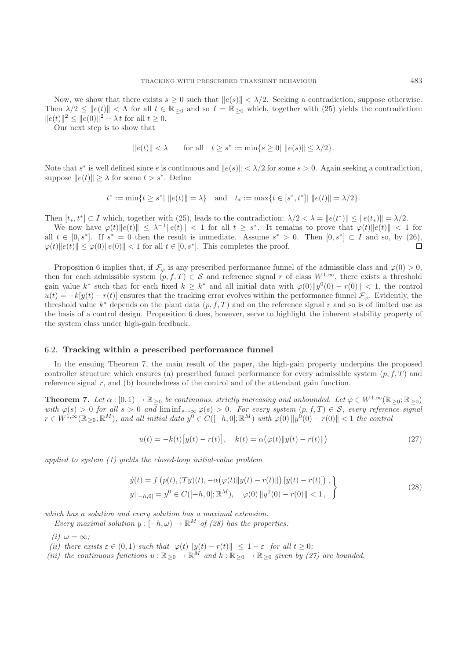Now, we show that there exists  $s \geq 0$  such that  $||e(s)|| < \lambda/2$ . Seeking a contradiction, suppose otherwise. Then  $\lambda/2 \le ||e(t)|| < \Lambda$  for all  $t \in \mathbb{R}_{\geq 0}$  and so  $I = \mathbb{R}_{\geq 0}$  which, together with (25) yields the contradiction:  $||e(t)||^2 \leq ||e(0)||^2 - \lambda t$  for all  $t \geq 0$ .

Our next step is to show that

$$
||e(t)|| < \lambda
$$
 for all  $t \ge s^* := \min\{s \ge 0 | ||e(s)|| \le \lambda/2\}.$ 

Note that s<sup>\*</sup> is well defined since e is continuous and  $||e(s)|| < \lambda/2$  for some  $s > 0$ . Again seeking a contradiction, suppose  $||e(t)|| > \lambda$  for some  $t > s^*$ . Define

$$
t^* := \min\{t \ge s^* | \|e(t)\| = \lambda\}
$$
 and  $t_* := \max\{t \in [s^*, t^*] | \|e(t)\| = \lambda/2\}.$ 

Then  $[t_*, t^*] \subset I$  which, together with (25), leads to the contradiction:  $\lambda/2 < \lambda = ||e(t^*)|| \le ||e(t_*)|| = \lambda/2$ .

We now have  $\varphi(t) \|e(t)\| \leq \lambda^{-1} \|e(t)\| < 1$  for all  $t \geq s^*$ . It remains to prove that  $\varphi(t) \|e(t)\| < 1$  for all  $t \in [0, s^*]$ . If  $s^* = 0$  then the result is immediate. Assume  $s^* > 0$ . Then  $[0, s^*] \subset I$  and so, by (26),  $\varphi(t) \|e(t)\| \leq \varphi(0) \|e(0)\| < 1$  for all  $t \in [0, s^*]$ . This completes the proof.  $\Box$ 

Proposition 6 implies that, if  $\mathcal{F}_{\varphi}$  is any prescribed performance funnel of the admissible class and  $\varphi(0) > 0$ , then for each admissible system  $(p, f, T) \in S$  and reference signal r of class  $W^{1,\infty}$ , there exists a threshold gain value k<sup>\*</sup> such that for each fixed  $k \geq k^*$  and all initial data with  $\varphi(0) \|y^0(0) - r(0)\| < 1$ , the control  $u(t) = -k[y(t) - r(t)]$  ensures that the tracking error evolves within the performance funnel  $\mathcal{F}_{\varphi}$ . Evidently, the threshold value  $k^*$  depends on the plant data  $(p, f, T)$  and on the reference signal r and so is of limited use as the basis of a control design. Proposition 6 does, however, serve to highlight the inherent stability property of the system class under high-gain feedback.

### 6.2. **Tracking within a prescribed performance funnel**

In the ensuing Theorem 7, the main result of the paper, the high-gain property underpins the proposed controller structure which ensures (a) prescribed funnel performance for every admissible system  $(p, f, T)$  and reference signal  $r$ , and (b) boundedness of the control and of the attendant gain function.

**Theorem 7.** *Let*  $\alpha : [0, 1) \to \mathbb{R}_{\geq 0}$  *be continuous, strictly increasing and unbounded. Let*  $\varphi \in W^{1,\infty}(\mathbb{R}_{\geq 0}; \mathbb{R}_{\geq 0})$  $with \varphi(s) > 0$  *for all*  $s > 0$  *and*  $\liminf_{s \to \infty} \varphi(s) > 0$ *. For every system*  $(p, f, T) \in S$ *, every reference signal*  $r \in W^{1,\infty}(\mathbb{R}_{\geq 0}; \mathbb{R}^M)$ , and all initial data  $y^0 \in C([-h, 0]; \mathbb{R}^M)$  with  $\varphi(0) ||y^0(0) - r(0)|| < 1$  the control

$$
u(t) = -k(t)[y(t) - r(t)], \quad k(t) = \alpha(\varphi(t) \| y(t) - r(t) \|)
$$
\n(27)

*applied to system (1) yields the closed-loop initial-value problem*

$$
\dot{y}(t) = f(p(t), (Ty)(t), -\alpha(\varphi(t)||y(t) - r(t)||) [y(t) - r(t)]],
$$
  
\n
$$
y|_{[-h,0]} = y^0 \in C([-h,0]; \mathbb{R}^M), \quad \varphi(0) ||y^0(0) - r(0)|| < 1,
$$
\n(28)

*which has a solution and every solution has a maximal extension.*

*Every maximal solution*  $y : [-h, \omega) \to \mathbb{R}^M$  *of (28) has the properties:* 

*(i)*  $\omega = \infty$ *;* 

- *(ii)* there exists  $\varepsilon \in (0,1)$  *such that*  $\varphi(t) ||y(t) r(t)|| \leq 1 \varepsilon$  *for all*  $t \geq 0$ *;*
- *(iii) the continuous functions*  $u : \mathbb{R}_{\geq 0} \to \mathbb{R}^M$  *and*  $k : \mathbb{R}_{\geq 0} \to \mathbb{R}_{\geq 0}$  *given by (27) are bounded.*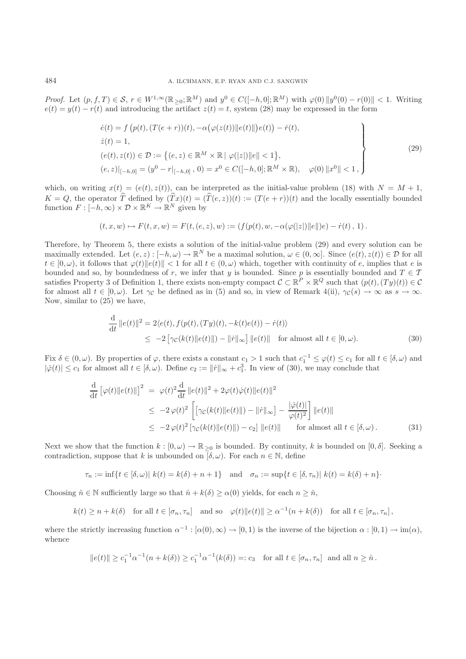*Proof.* Let  $(p, f, T) \in S$ ,  $r \in W^{1,\infty}(\mathbb{R}_{>0}; \mathbb{R}^M)$  and  $y^0 \in C([-h, 0]; \mathbb{R}^M)$  with  $\varphi(0) ||y^0(0) - r(0)|| < 1$ . Writing  $e(t) = y(t) - r(t)$  and introducing the artifact  $z(t) = t$ , system (28) may be expressed in the form

$$
\begin{aligned}\n\dot{e}(t) &= f\left(p(t), (T(e+r))(t), -\alpha\left(\varphi(z(t))\|e(t)\|\right)e(t)\right) - \dot{r}(t), \\
\dot{z}(t) &= 1, \\
(e(t), z(t)) &\in \mathcal{D} := \left\{(e, z) \in \mathbb{R}^M \times \mathbb{R} \mid \varphi(|z|) \|e\| < 1\right\}, \\
(e, z)|_{[-h,0]} &= (y^0 - r|_{[-h,0]}, 0) = x^0 \in C([-h,0]; \mathbb{R}^M \times \mathbb{R}), \quad \varphi(0) \|x^0\| < 1,\n\end{aligned}\n\tag{29}
$$

which, on writing  $x(t)=(e(t), z(t))$ , can be interpreted as the initial-value problem (18) with  $N = M + 1$ ,  $K = Q$ , the operator T defined by  $(Tx)(t) = (T(e, z))(t) := (T(e + r))(t)$  and the locally essentially bounded function  $F: [-h, \infty) \times \mathcal{D} \times \mathbb{R}^K \to \mathbb{R}^N$  given by

$$
(t,x,w) \mapsto F(t,x,w) = F(t,(e,z),w) := (f(p(t),w,-\alpha(\varphi(|z|)\|e\|)e) - \dot{r}(t), 1).
$$

Therefore, by Theorem 5, there exists a solution of the initial-value problem (29) and every solution can be maximally extended. Let  $(e, z): [-h, \omega) \to \mathbb{R}^N$  be a maximal solution,  $\omega \in (0, \infty]$ . Since  $(e(t), z(t)) \in \mathcal{D}$  for all  $t \in [0, \omega)$ , it follows that  $\varphi(t) ||e(t)|| < 1$  for all  $t \in (0, \omega)$  which, together with continuity of e, implies that e is bounded and so, by boundedness of r, we infer that y is bounded. Since p is essentially bounded and  $T \in \mathcal{T}$ satisfies Property 3 of Definition 1, there exists non-empty compact  $C \subset \mathbb{R}^P \times \mathbb{R}^Q$  such that  $(p(t),(Ty)(t)) \in C$ for almost all  $t \in [0, \omega)$ . Let  $\gamma_{\mathcal{C}}$  be defined as in (5) and so, in view of Remark 4(ii),  $\gamma_{\mathcal{C}}(s) \to \infty$  as  $s \to \infty$ . Now, similar to (25) we have,

$$
\frac{\mathrm{d}}{\mathrm{d}t} ||e(t)||^2 = 2\langle e(t), f(p(t), (Ty)(t), -k(t)e(t)) - \dot{r}(t) \rangle
$$
\n
$$
\leq -2 \left[ \gamma_{\mathcal{C}}(k(t) || e(t) ||) - ||\dot{r}||_{\infty} \right] ||e(t)|| \quad \text{for almost all } t \in [0, \omega). \tag{30}
$$

Fix  $\delta \in (0, \omega)$ . By properties of  $\varphi$ , there exists a constant  $c_1 > 1$  such that  $c_1^{-1} \leq \varphi(t) \leq c_1$  for all  $t \in [\delta, \omega)$  and  $|\dot{\varphi}(t)| \leq c_1$  for almost all  $t \in [\delta, \omega)$ . Define  $c_2 := ||\dot{r}||_{\infty} + c_1^3$ . In view of (30), we may conclude that

$$
\frac{\mathrm{d}}{\mathrm{d}t} \left[ \varphi(t) \| e(t) \| \right]^2 = \varphi(t)^2 \frac{\mathrm{d}}{\mathrm{d}t} \| e(t) \|^2 + 2\varphi(t)\dot{\varphi}(t) \| e(t) \|^2
$$
\n
$$
\leq -2\varphi(t)^2 \left[ \left[ \gamma_{\mathcal{C}}(k(t) \| e(t) \|) - \| \dot{r} \|_{\infty} \right] - \frac{|\dot{\varphi}(t)|}{\varphi(t)^2} \right] \| e(t) \|
$$
\n
$$
\leq -2\varphi(t)^2 \left[ \gamma_{\mathcal{C}}(k(t) \| e(t) \|) - c_2 \right] \| e(t) \| \qquad \text{for almost all } t \in [\delta, \omega). \tag{31}
$$

Next we show that the function  $k : [0, \omega) \to \mathbb{R}_{\geq 0}$  is bounded. By continuity, k is bounded on  $[0, \delta]$ . Seeking a contradiction, suppose that k is unbounded on  $[\delta, \omega)$ . For each  $n \in \mathbb{N}$ , define

$$
\tau_n := \inf\{t \in [\delta, \omega)| \ k(t) = k(\delta) + n + 1\} \quad \text{and} \quad \sigma_n := \sup\{t \in [\delta, \tau_n)| \ k(t) = k(\delta) + n\}.
$$

Choosing  $\hat{n} \in \mathbb{N}$  sufficiently large so that  $\hat{n} + k(\delta) \ge \alpha(0)$  yields, for each  $n \ge \hat{n}$ ,

$$
k(t) \ge n + k(\delta) \quad \text{for all } t \in [\sigma_n, \tau_n] \quad \text{and so} \quad \varphi(t) \|e(t)\| \ge \alpha^{-1}(n + k(\delta)) \quad \text{for all } t \in [\sigma_n, \tau_n],
$$

where the strictly increasing function  $\alpha^{-1} : [\alpha(0), \infty) \to [0, 1)$  is the inverse of the bijection  $\alpha : [0, 1) \to \text{im}(\alpha)$ , whence

$$
||e(t)|| \geq c_1^{-1} \alpha^{-1} (n + k(\delta)) \geq c_1^{-1} \alpha^{-1} (k(\delta)) =: c_3
$$
 for all  $t \in [\sigma_n, \tau_n]$  and all  $n \geq \hat{n}$ .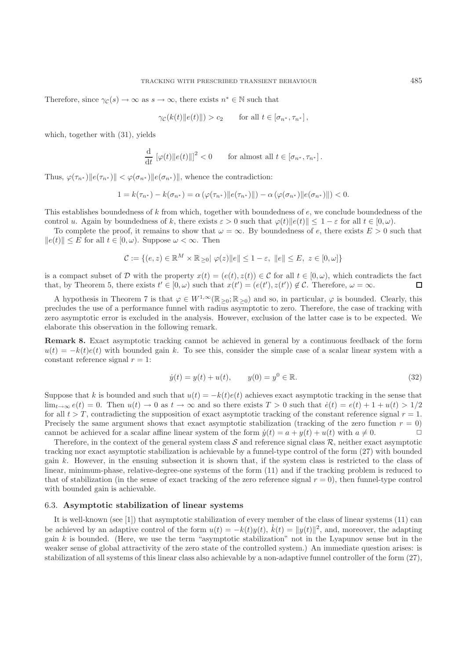Therefore, since  $\gamma_{\mathcal{C}}(s) \to \infty$  as  $s \to \infty$ , there exists  $n^* \in \mathbb{N}$  such that

$$
\gamma_{\mathcal{C}}(k(t)||e(t)||) > c_2 \quad \text{for all } t \in [\sigma_{n^*}, \tau_{n^*}],
$$

which, together with (31), yields

$$
\frac{\mathrm{d}}{\mathrm{d}t} \left[ \varphi(t) \| e(t) \| \right]^2 < 0 \qquad \text{for almost all } t \in [\sigma_{n^*}, \tau_{n^*}].
$$

Thus,  $\varphi(\tau_{n^*}) || e(\tau_{n^*}) || < \varphi(\sigma_{n^*}) || e(\sigma_{n^*}) ||$ , whence the contradiction:

$$
1 = k(\tau_{n^*}) - k(\sigma_{n^*}) = \alpha (\varphi(\tau_{n^*}) || e(\tau_{n^*}) ||) - \alpha (\varphi(\sigma_{n^*}) || e(\sigma_{n^*}) ||) < 0.
$$

This establishes boundedness of  $k$  from which, together with boundedness of  $e$ , we conclude boundedness of the control u. Again by boundedness of k, there exists  $\varepsilon > 0$  such that  $\varphi(t) \|e(t)\| \leq 1 - \varepsilon$  for all  $t \in [0, \omega)$ .

To complete the proof, it remains to show that  $\omega = \infty$ . By boundedness of e, there exists  $E > 0$  such that  $||e(t)|| \leq E$  for all  $t \in [0, \omega)$ . Suppose  $\omega < \infty$ . Then

$$
\mathcal{C} := \{ (e, z) \in \mathbb{R}^M \times \mathbb{R}_{\geq 0} | \varphi(z) || e || \leq 1 - \varepsilon, ||e|| \leq E, z \in [0, \omega] \}
$$

is a compact subset of D with the property  $x(t)=(e(t), z(t)) \in C$  for all  $t \in [0, \omega)$ , which contradicts the fact that, by Theorem 5, there exists  $t' \in [0, \omega)$  such that  $x(t') = (e(t'), z(t')) \notin \mathcal{C}$ . Therefore,  $\omega = \infty$ .  $\Box$ 

A hypothesis in Theorem 7 is that  $\varphi \in W^{1,\infty}(\mathbb{R}_{\geq 0}; \mathbb{R}_{\geq 0})$  and so, in particular,  $\varphi$  is bounded. Clearly, this precludes the use of a performance funnel with radius asymptotic to zero. Therefore, the case of tracking with zero asymptotic error is excluded in the analysis. However, exclusion of the latter case is to be expected. We elaborate this observation in the following remark.

**Remark 8.** Exact asymptotic tracking cannot be achieved in general by a continuous feedback of the form  $u(t) = -k(t)e(t)$  with bounded gain k. To see this, consider the simple case of a scalar linear system with a constant reference signal  $r = 1$ :

$$
\dot{y}(t) = y(t) + u(t), \qquad y(0) = y^0 \in \mathbb{R}.\tag{32}
$$

Suppose that k is bounded and such that  $u(t) = -k(t)e(t)$  achieves exact asymptotic tracking in the sense that  $\lim_{t\to\infty}e(t)=0$ . Then  $u(t)\to 0$  as  $t\to\infty$  and so there exists  $T>0$  such that  $\dot{e}(t)=e(t)+1+u(t)>1/2$ for all  $t>T$ , contradicting the supposition of exact asymptotic tracking of the constant reference signal  $r = 1$ . Precisely the same argument shows that exact asymptotic stabilization (tracking of the zero function  $r = 0$ ) cannot be achieved for a scalar affine linear system of the form  $\dot{y}(t) = a + y(t) + u(t)$  with  $a \neq 0$ .

Therefore, in the context of the general system class  $S$  and reference signal class  $R$ , neither exact asymptotic tracking nor exact asymptotic stabilization is achievable by a funnel-type control of the form (27) with bounded gain k. However, in the ensuing subsection it is shown that, if the system class is restricted to the class of linear, minimum-phase, relative-degree-one systems of the form (11) and if the tracking problem is reduced to that of stabilization (in the sense of exact tracking of the zero reference signal  $r = 0$ ), then funnel-type control with bounded gain is achievable.

#### 6.3. **Asymptotic stabilization of linear systems**

It is well-known (see [1]) that asymptotic stabilization of every member of the class of linear systems (11) can be achieved by an adaptive control of the form  $u(t) = -k(t)y(t)$ ,  $\dot{k}(t) = ||y(t)||^2$ , and, moreover, the adapting gain  $k$  is bounded. (Here, we use the term "asymptotic stabilization" not in the Lyapunov sense but in the weaker sense of global attractivity of the zero state of the controlled system.) An immediate question arises: is stabilization of all systems of this linear class also achievable by a non-adaptive funnel controller of the form (27),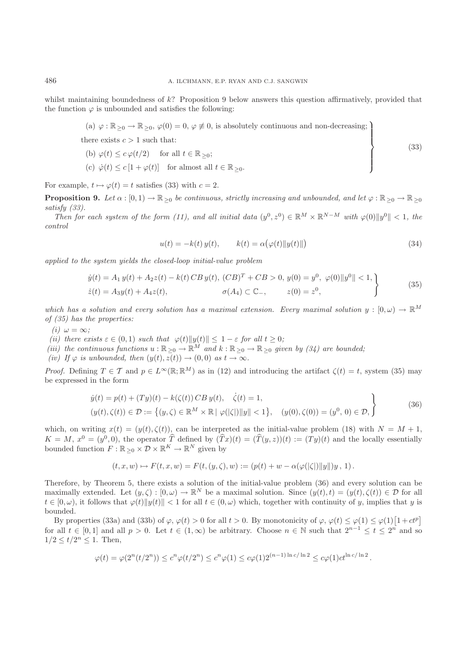whilst maintaining boundedness of  $k$ ? Proposition 9 below answers this question affirmatively, provided that the function  $\varphi$  is unbounded and satisfies the following:

\n- (a) 
$$
\varphi : \mathbb{R}_{\geq 0} \to \mathbb{R}_{\geq 0}, \varphi(0) = 0, \varphi \not\equiv 0
$$
, is absolutely continuous and non-decreasing;
\n- there exists  $c > 1$  such that:
\n- (b)  $\varphi(t) \leq c \varphi(t/2)$  for all  $t \in \mathbb{R}_{\geq 0}$ ;
\n- (c)  $\varphi(t) \leq c [1 + \varphi(t)]$  for almost all  $t \in \mathbb{R}_{\geq 0}$ .
\n
\n(33)

For example,  $t \mapsto \varphi(t) = t$  satisfies (33) with  $c = 2$ .

**Proposition 9.** *Let*  $\alpha : [0,1) \to \mathbb{R}_{\geq 0}$  *be continuous, strictly increasing and unbounded, and let*  $\varphi : \mathbb{R}_{\geq 0} \to \mathbb{R}_{\geq 0}$ *satisfy (33).*

*Then for each system of the form (11), and all initial data*  $(y^0, z^0) \in \mathbb{R}^M \times \mathbb{R}^{N-M}$  *with*  $\varphi(0) \|y^0\| < 1$ , the *control*

$$
u(t) = -k(t) y(t), \qquad k(t) = \alpha (\varphi(t) ||y(t)||)
$$
\n(34)

*applied to the system yields the closed-loop initial-value problem*

$$
\dot{y}(t) = A_1 y(t) + A_2 z(t) - k(t) CB y(t), (CB)^T + CB > 0, y(0) = y^0, \varphi(0) \|y^0\| < 1, \n\dot{z}(t) = A_3 y(t) + A_4 z(t), \qquad \sigma(A_4) \subset \mathbb{C}_-, \qquad z(0) = z^0,
$$
\n(35)

which has a solution and every solution has a maximal extension. Every maximal solution  $y : [0, \omega) \to \mathbb{R}^M$ *of (35) has the properties:*

*(i)*  $\omega = \infty$ ;

*(ii)* there exists  $\varepsilon \in (0,1)$  *such that*  $\varphi(t) \|y(t)\| \leq 1 - \varepsilon$  *for all*  $t \geq 0$ *;* 

*(iii) the continuous functions*  $u : \mathbb{R}_{\geq 0} \to \mathbb{R}^M$  *and*  $k : \mathbb{R}_{\geq 0} \to \mathbb{R}_{\geq 0}$  *given by (34) are bounded*;

*(iv)* If  $\varphi$  *is unbounded, then*  $(y(t), z(t)) \to (0, 0)$  *as*  $t \to \infty$ *.* 

*Proof.* Defining  $T \in \mathcal{T}$  and  $p \in L^{\infty}(\mathbb{R}; \mathbb{R}^M)$  as in (12) and introducing the artifact  $\zeta(t) = t$ , system (35) may be expressed in the form

$$
\dot{y}(t) = p(t) + (Ty)(t) - k(\zeta(t)) CB y(t), \quad \dot{\zeta}(t) = 1,(y(t), \zeta(t)) \in \mathcal{D} := \{(y, \zeta) \in \mathbb{R}^M \times \mathbb{R} \mid \varphi(|\zeta|) \|y\| < 1\}, \quad (y(0), \zeta(0)) = (y^0, 0) \in \mathcal{D},
$$
\n(36)

which, on writing  $x(t)=(y(t), \zeta(t))$ , can be interpreted as the initial-value problem (18) with  $N = M + 1$ ,  $K = M, x^0 = (y^0, 0)$ , the operator  $\hat{T}$  defined by  $(\hat{T}x)(t) = (\hat{T}(y, z))(t) := (Ty)(t)$  and the locally essentially bounded function  $F : \mathbb{R}_{\geq 0} \times \mathcal{D} \times \mathbb{R}^K \to \mathbb{R}^N$  given by

$$
(t, x, w) \mapsto F(t, x, w) = F(t, (y, \zeta), w) := (p(t) + w - \alpha(\varphi(|\zeta|)||y||)y, 1).
$$

Therefore, by Theorem 5, there exists a solution of the initial-value problem (36) and every solution can be maximally extended. Let  $(y, \zeta) : [0, \omega) \to \mathbb{R}^N$  be a maximal solution. Since  $(y(t), t) = (y(t), \zeta(t)) \in \mathcal{D}$  for all  $t \in [0, \omega)$ , it follows that  $\varphi(t) \|y(t)\| < 1$  for all  $t \in (0, \omega)$  which, together with continuity of y, implies that y is bounded.

By properties (33a) and (33b) of  $\varphi$ ,  $\varphi(t) > 0$  for all  $t > 0$ . By monotonicity of  $\varphi$ ,  $\varphi(t) \leq \varphi(1) \leq \varphi(1)[1 + ct^p]$ for all  $t \in [0,1]$  and all  $p > 0$ . Let  $t \in (1,\infty)$  be arbitrary. Choose  $n \in \mathbb{N}$  such that  $2^{n-1} \le t \le 2^n$  and so  $1/2 \le t/2^n \le 1$ . Then,

$$
\varphi(t) = \varphi(2^n(t/2^n)) \le c^n \varphi(t/2^n) \le c^n \varphi(1) \le c\varphi(1)2^{(n-1)\ln c/\ln 2} \le c\varphi(1) c t^{\ln c/\ln 2}.
$$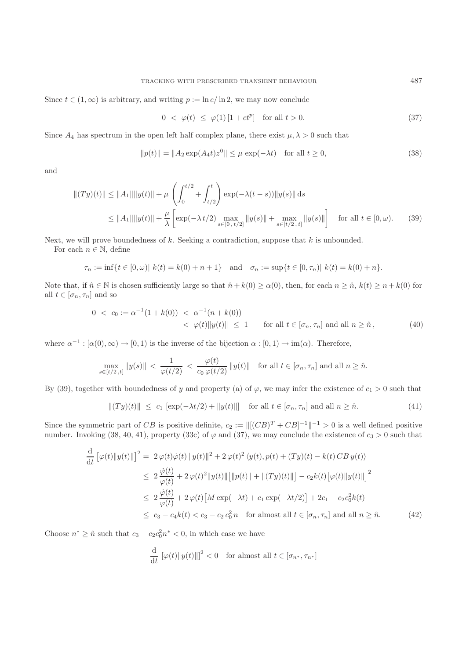Since  $t \in (1,\infty)$  is arbitrary, and writing  $p := \ln c / \ln 2$ , we may now conclude

$$
0 < \varphi(t) \le \varphi(1) \left[ 1 + ct^p \right] \quad \text{for all } t > 0. \tag{37}
$$

Since  $A_4$  has spectrum in the open left half complex plane, there exist  $\mu, \lambda > 0$  such that

$$
||p(t)|| = ||A_2 \exp(A_4 t) z^0|| \le \mu \exp(-\lambda t) \quad \text{for all } t \ge 0,
$$
 (38)

and

$$
||(Ty)(t)|| \le ||A_1|| ||y(t)|| + \mu \left( \int_0^{t/2} + \int_{t/2}^t \right) \exp(-\lambda(t-s)) ||y(s)|| \, ds
$$
  
\n
$$
\le ||A_1|| ||y(t)|| + \frac{\mu}{\lambda} \left[ \exp(-\lambda t/2) \max_{s \in [0, t/2]} ||y(s)|| + \max_{s \in [t/2, t]} ||y(s)|| \right] \quad \text{for all } t \in [0, \omega). \tag{39}
$$

Next, we will prove boundedness of  $k$ . Seeking a contradiction, suppose that  $k$  is unbounded.

For each  $n \in \mathbb{N}$ , define

$$
\tau_n := \inf\{t \in [0,\omega)| \ k(t) = k(0) + n + 1\} \quad \text{and} \quad \sigma_n := \sup\{t \in [0,\tau_n)| \ k(t) = k(0) + n\}.
$$

Note that, if  $\hat{n} \in \mathbb{N}$  is chosen sufficiently large so that  $\hat{n} + k(0) \ge \alpha(0)$ , then, for each  $n \ge \hat{n}$ ,  $k(t) \ge n + k(0)$  for all  $t \in [\sigma_n, \tau_n]$  and so

$$
0 < c_0 := \alpha^{-1}(1 + k(0)) < \alpha^{-1}(n + k(0)) \\
& < \varphi(t) \|y(t)\| \le 1 \qquad \text{for all } t \in [\sigma_n, \tau_n] \text{ and all } n \ge \hat{n}, \tag{40}
$$

where  $\alpha^{-1} : [\alpha(0), \infty) \to [0, 1)$  is the inverse of the bijection  $\alpha : [0, 1) \to \text{im}(\alpha)$ . Therefore,

$$
\max_{s\in[t/2,t]}\|y(s)\| < \frac{1}{\varphi(t/2)} < \frac{\varphi(t)}{c_0\,\varphi(t/2)}\|y(t)\| \quad \text{for all } t\in[\sigma_n,\tau_n] \text{ and all } n\geq\hat{n}.
$$

By (39), together with boundedness of y and property (a) of  $\varphi$ , we may infer the existence of  $c_1 > 0$  such that

$$
||(Ty)(t)|| \le c_1 [\exp(-\lambda t/2) + ||y(t)||] \text{ for all } t \in [\sigma_n, \tau_n] \text{ and all } n \ge \hat{n}.
$$
 (41)

Since the symmetric part of CB is positive definite,  $c_2 := ||[(CB)^T + CB]^{-1}||^{-1} > 0$  is a well defined positive number. Invoking  $(38, 40, 41)$ , property  $(33c)$  of  $\varphi$  and  $(37)$ , we may conclude the existence of  $c_3 > 0$  such that

$$
\frac{d}{dt} \left[ \varphi(t) \| y(t) \| \right]^2 = 2 \varphi(t) \dot{\varphi}(t) \| y(t) \|^2 + 2 \varphi(t)^2 \langle y(t), p(t) + (Ty)(t) - k(t) CB y(t) \rangle
$$
\n
$$
\leq 2 \frac{\dot{\varphi}(t)}{\varphi(t)} + 2 \varphi(t)^2 \| y(t) \| \left[ \| p(t) \| + \| (Ty)(t) \| \right] - c_2 k(t) \left[ \varphi(t) \| y(t) \| \right]^2
$$
\n
$$
\leq 2 \frac{\dot{\varphi}(t)}{\varphi(t)} + 2 \varphi(t) \left[ M \exp(-\lambda t) + c_1 \exp(-\lambda t/2) \right] + 2c_1 - c_2 c_0^2 k(t)
$$
\n
$$
\leq c_3 - c_4 k(t) < c_3 - c_2 c_0^2 n \quad \text{for almost all } t \in [\sigma_n, \tau_n] \text{ and all } n \geq \hat{n}.\tag{42}
$$

Choose  $n^* \geq \hat{n}$  such that  $c_3 - c_2 c_0^2 n^* < 0$ , in which case we have

$$
\frac{\mathrm{d}}{\mathrm{d}t} \left[ \varphi(t) \| y(t) \| \right]^2 < 0 \quad \text{for almost all } t \in [\sigma_{n^*}, \tau_{n^*}]
$$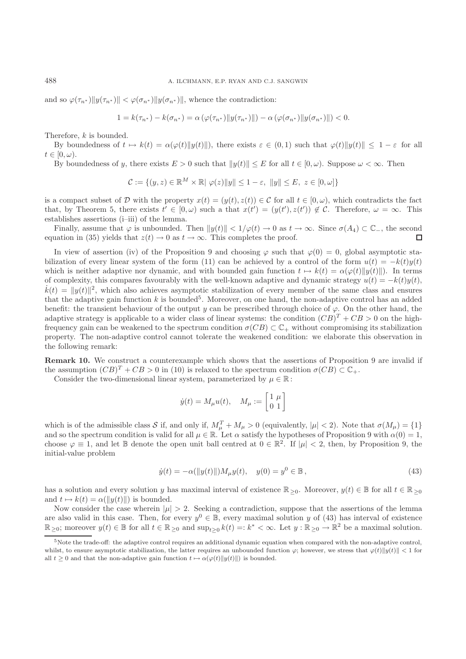and so  $\varphi(\tau_{n^*})||y(\tau_{n^*})|| < \varphi(\sigma_{n^*})||y(\sigma_{n^*})||$ , whence the contradiction:

$$
1 = k(\tau_{n^*}) - k(\sigma_{n^*}) = \alpha (\varphi(\tau_{n^*}) \| y(\tau_{n^*}) \|) - \alpha (\varphi(\sigma_{n^*}) \| y(\sigma_{n^*}) \|) < 0.
$$

Therefore, k is bounded.

By boundedness of  $t \mapsto k(t) = \alpha(\varphi(t) || y(t) ||)$ , there exists  $\varepsilon \in (0,1)$  such that  $\varphi(t) || y(t) || \leq 1 - \varepsilon$  for all  $t\in [0,\omega).$ 

By boundedness of y, there exists  $E > 0$  such that  $||y(t)|| \le E$  for all  $t \in [0, \omega)$ . Suppose  $\omega < \infty$ . Then

$$
\mathcal{C} := \{ (y, z) \in \mathbb{R}^M \times \mathbb{R} \mid \varphi(z) \|y\| \le 1 - \varepsilon, \|y\| \le E, z \in [0, \omega] \}
$$

is a compact subset of D with the property  $x(t)=(y(t), z(t)) \in C$  for all  $t \in [0, \omega)$ , which contradicts the fact that, by Theorem 5, there exists  $t' \in [0, \omega)$  such a that  $x(t') = (y(t'), z(t')) \notin \mathcal{C}$ . Therefore,  $\omega = \infty$ . This establishes assertions (i–iii) of the lemma.

Finally, assume that  $\varphi$  is unbounded. Then  $||y(t)|| < 1/\varphi(t) \to 0$  as  $t \to \infty$ . Since  $\sigma(A_4) \subset \mathbb{C}_-$ , the second untion in (35) yields that  $z(t) \to 0$  as  $t \to \infty$ . This completes the proof equation in (35) yields that  $z(t) \to 0$  as  $t \to \infty$ . This completes the proof.

In view of assertion (iv) of the Proposition 9 and choosing  $\varphi$  such that  $\varphi(0) = 0$ , global asymptotic stabilization of every linear system of the form (11) can be achieved by a control of the form  $u(t) = -k(t)y(t)$ which is neither adaptive nor dynamic, and with bounded gain function  $t \mapsto k(t) = \alpha(\varphi(t)||y(t)||)$ . In terms of complexity, this compares favourably with the well-known adaptive and dynamic strategy  $u(t) = -k(t)y(t)$ ,  $\dot{k}(t) = ||y(t)||^2$ , which also achieves asymptotic stabilization of every member of the same class and ensures that the adaptive gain function k is bounded<sup>5</sup>. Moreover, on one hand, the non-adaptive control has an added benefit: the transient behaviour of the output y can be prescribed through choice of  $\varphi$ . On the other hand, the adaptive strategy is applicable to a wider class of linear systems: the condition  $(CB)^{T} + CB > 0$  on the highfrequency gain can be weakened to the spectrum condition  $\sigma(CB) \subset \mathbb{C}_+$  without compromising its stabilization property. The non-adaptive control cannot tolerate the weakened condition: we elaborate this observation in the following remark:

**Remark 10.** We construct a counterexample which shows that the assertions of Proposition 9 are invalid if the assumption  $(CB)^{T} + CB > 0$  in (10) is relaxed to the spectrum condition  $\sigma(CB) \subset \mathbb{C}_{+}$ .

Consider the two-dimensional linear system, parameterized by  $\mu \in \mathbb{R}$ :

$$
\dot{y}(t) = M_{\mu}u(t), \quad M_{\mu} := \begin{bmatrix} 1 & \mu \\ 0 & 1 \end{bmatrix}
$$

which is of the admissible class S if, and only if,  $M_{\mu}^{T} + M_{\mu} > 0$  (equivalently,  $|\mu| < 2$ ). Note that  $\sigma(M_{\mu}) = \{1\}$ and so the spectrum condition is valid for all  $\mu \in \mathbb{R}$ . Let  $\alpha$  satisfy the hypotheses of Proposition 9 with  $\alpha(0) = 1$ , choose  $\varphi \equiv 1$ , and let B denote the open unit ball centred at  $0 \in \mathbb{R}^2$ . If  $|\mu| < 2$ , then, by Proposition 9, the initial-value problem

$$
\dot{y}(t) = -\alpha(||y(t)||)M_{\mu}y(t), \quad y(0) = y^{0} \in \mathbb{B}, \tag{43}
$$

has a solution and every solution y has maximal interval of existence  $\mathbb{R}_{\geq 0}$ . Moreover,  $y(t) \in \mathbb{B}$  for all  $t \in \mathbb{R}_{\geq 0}$ and  $t \mapsto k(t) = \alpha(||y(t)||)$  is bounded.

Now consider the case wherein  $|\mu| > 2$ . Seeking a contradiction, suppose that the assertions of the lemma are also valid in this case. Then, for every  $y^0 \in \mathbb{B}$ , every maximal solution y of (43) has interval of existence  $\mathbb{R}_{\geq 0}$ ; moreover  $y(t) \in \mathbb{B}$  for all  $t \in \mathbb{R}_{\geq 0}$  and  $\sup_{t>0} k(t) =: k^* < \infty$ . Let  $y : \mathbb{R}_{\geq 0} \to \mathbb{R}^2$  be a maximal solution.

<sup>5</sup>Note the trade-off: the adaptive control requires an additional dynamic equation when compared with the non-adaptive control, whilst, to ensure asymptotic stabilization, the latter requires an unbounded function  $\varphi$ ; however, we stress that  $\varphi(t) \|y(t)\| < 1$  for all  $t \geq 0$  and that the non-adaptive gain function  $t \mapsto \alpha(\varphi(t)||y(t)||)$  is bounded.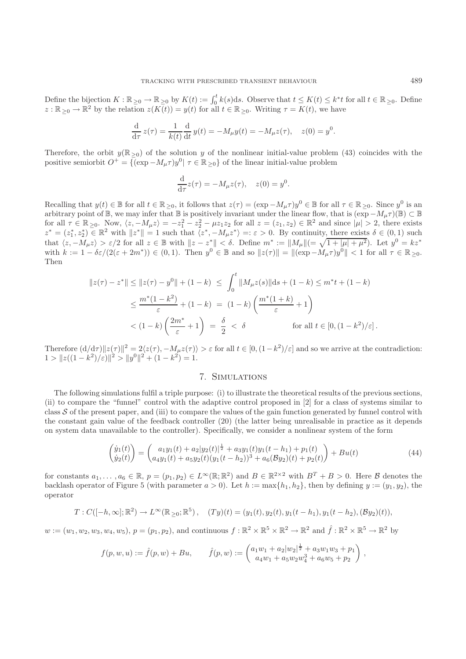Define the bijection  $K : \mathbb{R}_{\geq 0} \to \mathbb{R}_{\geq 0}$  by  $K(t) := \int_0^t k(s)ds$ . Observe that  $t \leq K(t) \leq k^*t$  for all  $t \in \mathbb{R}_{\geq 0}$ . Define  $z : \mathbb{R}_{\geq 0} \to \mathbb{R}^2$  by the relation  $z(K(t)) = y(t)$  for all  $t \in \mathbb{R}_{\geq 0}$ . Writing  $\tau = K(t)$ , we have

$$
\frac{d}{d\tau} z(\tau) = \frac{1}{k(t)} \frac{d}{dt} y(t) = -M_{\mu} y(t) = -M_{\mu} z(\tau), \quad z(0) = y^{0}.
$$

Therefore, the orbit  $y(\mathbb{R}_{\geq 0})$  of the solution y of the nonlinear initial-value problem (43) coincides with the positive semiorbit  $O^+ = \{(\exp - M_\mu \tau)y^0 | \tau \in \mathbb{R}_{\geq 0}\}\$  of the linear initial-value problem

$$
\frac{\mathrm{d}}{\mathrm{d}\tau}z(\tau) = -M_{\mu}z(\tau), \quad z(0) = y^0.
$$

Recalling that  $y(t) \in \mathbb{B}$  for all  $t \in \mathbb{R}_{\geq 0}$ , it follows that  $z(\tau) = (\exp - M_{\mu}\tau)y^0 \in \mathbb{B}$  for all  $\tau \in \mathbb{R}_{\geq 0}$ . Since  $y^0$  is an arbitrary point of B, we may infer that B is positively invariant under the linear flow, that is  $(\exp -M_\mu\tau)(B) \subset B$ for all  $\tau \in \mathbb{R}_{\geq 0}$ . Now,  $\langle z, -M_{\mu}z \rangle = -z_1^2 - z_2^2 - \mu z_1 z_2$  for all  $z = (z_1, z_2) \in \mathbb{R}^2$  and since  $|\mu| > 2$ , there exists  $z^* = (z_1^*, z_2^*) \in \mathbb{R}^2$  with  $||z^*|| = 1$  such that  $\langle z^*, -M_\mu z^* \rangle =: \varepsilon > 0$ . By continuity, there exists  $\delta \in (0, 1)$  such that  $\langle z, -M_\mu z \rangle > \varepsilon/2$  for all  $z \in \mathbb{B}$  with  $||z - z^*|| < \delta$ . Define  $m^* := ||M_\mu|| (= \sqrt{1 + |\mu| + \mu^2})$ . Let  $y^0 = kz^*$ with  $k := 1 - \delta \varepsilon/(2(\varepsilon + 2m^*)) \in (0, 1)$ . Then  $y^0 \in \mathbb{B}$  and so  $||z(\tau)|| = ||(\exp - M_\mu \tau)y^0|| < 1$  for all  $\tau \in \mathbb{R}_{\geq 0}$ . Then

$$
||z(\tau) - z^*|| \le ||z(\tau) - y^0|| + (1 - k) \le \int_0^t ||M_\mu z(s)||ds + (1 - k) \le m^* t + (1 - k)
$$
  

$$
\le \frac{m^*(1 - k^2)}{\varepsilon} + (1 - k) = (1 - k) \left(\frac{m^*(1 + k)}{\varepsilon} + 1\right)
$$
  

$$
< (1 - k) \left(\frac{2m^*}{\varepsilon} + 1\right) = \frac{\delta}{2} < \delta \quad \text{for all } t \in [0, (1 - k^2)/\varepsilon].
$$

Therefore  $(d/d\tau)\|z(\tau)\|^2 = 2\langle z(\tau), -M_u z(\tau) \rangle > \varepsilon$  for all  $t \in [0, (1-k^2)/\varepsilon]$  and so we arrive at the contradiction:  $1 > ||z((1 - k^2)/\varepsilon)||^2 > ||y^0||^2 + (1 - k^2) = 1.$ 

# 7. Simulations

The following simulations fulfil a triple purpose: (i) to illustrate the theoretical results of the previous sections, (ii) to compare the "funnel" control with the adaptive control proposed in [2] for a class of systems similar to class  $S$  of the present paper, and (iii) to compare the values of the gain function generated by funnel control with the constant gain value of the feedback controller (20) (the latter being unrealisable in practice as it depends on system data unavailable to the controller). Specifically, we consider a nonlinear system of the form

$$
\begin{pmatrix} \dot{y}_1(t) \\ \dot{y}_2(t) \end{pmatrix} = \begin{pmatrix} a_1y_1(t) + a_2|y_2(t)|^{\frac{1}{2}} + a_3y_1(t)y_1(t-h_1) + p_1(t) \\ a_4y_1(t) + a_5y_2(t)(y_1(t-h_2))^3 + a_6(\mathcal{B}y_2)(t) + p_2(t) \end{pmatrix} + Bu(t)
$$
\n(44)

for constants  $a_1,\ldots,a_6 \in \mathbb{R}, p = (p_1,p_2) \in L^{\infty}(\mathbb{R};\mathbb{R}^2)$  and  $B \in \mathbb{R}^{2\times 2}$  with  $B^T + B > 0$ . Here  $\beta$  denotes the backlash operator of Figure 5 (with parameter  $a > 0$ ). Let  $h := \max\{h_1, h_2\}$ , then by defining  $y := (y_1, y_2)$ , the operator

$$
T: C([-h, \infty]; \mathbb{R}^2) \to L^{\infty}(\mathbb{R}_{\geq 0}; \mathbb{R}^5), (Ty)(t) = (y_1(t), y_2(t), y_1(t - h_1), y_1(t - h_2), (\mathcal{B}y_2)(t)),
$$

 $w := (w_1, w_2, w_3, w_4, w_5), p = (p_1, p_2)$ , and continuous  $f : \mathbb{R}^2 \times \mathbb{R}^5 \times \mathbb{R}^2 \to \mathbb{R}^2$  and  $\hat{f} : \mathbb{R}^2 \times \mathbb{R}^5 \to \mathbb{R}^2$  by

$$
f(p, w, u) := \hat{f}(p, w) + Bu, \qquad \hat{f}(p, w) := \begin{pmatrix} a_1w_1 + a_2|w_2|^{\frac{1}{2}} + a_3w_1w_3 + p_1 \ a_4w_1 + a_5w_2w_4^3 + a_6w_5 + p_2 \end{pmatrix},
$$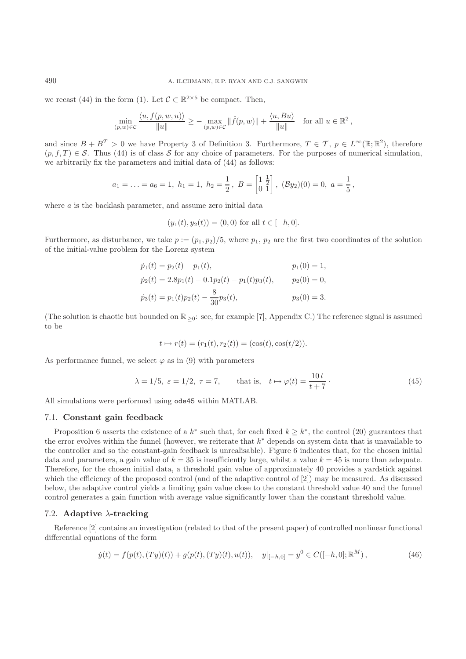we recast (44) in the form (1). Let  $\mathcal{C} \subset \mathbb{R}^{2\times 5}$  be compact. Then,

$$
\min_{(p,w)\in\mathcal{C}}\frac{\langle u,f(p,w,u)\rangle}{\|u\|}\geq -\max_{(p,w)\in\mathcal{C}}\|\hat{f}(p,w)\|+\frac{\langle u,Bu\rangle}{\|u\|}\quad\text{for all }u\in\mathbb{R}^2\,,
$$

and since  $B + B^T > 0$  we have Property 3 of Definition 3. Furthermore,  $T \in \mathcal{T}$ ,  $p \in L^{\infty}(\mathbb{R}; \mathbb{R}^2)$ , therefore  $(p, f, T) \in S$ . Thus (44) is of class S for any choice of parameters. For the purposes of numerical simulation, we arbitrarily fix the parameters and initial data of (44) as follows:

$$
a_1 = \ldots = a_6 = 1, \ h_1 = 1, \ h_2 = \frac{1}{2}, \ B = \begin{bmatrix} 1 & \frac{1}{2} \\ 0 & 1 \end{bmatrix}, \ (\mathcal{B}y_2)(0) = 0, \ a = \frac{1}{5},
$$

where  $a$  is the backlash parameter, and assume zero initial data

$$
(y_1(t), y_2(t)) = (0, 0)
$$
 for all  $t \in [-h, 0]$ .

Furthermore, as disturbance, we take  $p := (p_1, p_2)/5$ , where  $p_1, p_2$  are the first two coordinates of the solution of the initial-value problem for the Lorenz system

$$
\dot{p}_1(t) = p_2(t) - p_1(t), \qquad p_1(0) = 1,
$$
  
\n
$$
\dot{p}_2(t) = 2.8p_1(t) - 0.1p_2(t) - p_1(t)p_3(t), \qquad p_2(0) = 0,
$$
  
\n
$$
\dot{p}_3(t) = p_1(t)p_2(t) - \frac{8}{30}p_3(t), \qquad p_3(0) = 3.
$$

(The solution is chaotic but bounded on  $\mathbb{R}_{\geq 0}$ : see, for example [7], Appendix C.) The reference signal is assumed to be

$$
t \mapsto r(t) = (r_1(t), r_2(t)) = (\cos(t), \cos(t/2)).
$$

As performance funnel, we select  $\varphi$  as in (9) with parameters

$$
\lambda = 1/5, \ \varepsilon = 1/2, \ \tau = 7, \qquad \text{that is,} \quad t \mapsto \varphi(t) = \frac{10 \, t}{t + 7} \,. \tag{45}
$$

All simulations were performed using ode45 within MATLAB.

# 7.1. **Constant gain feedback**

Proposition 6 asserts the existence of a  $k^*$  such that, for each fixed  $k \geq k^*$ , the control (20) guarantees that the error evolves within the funnel (however, we reiterate that  $k^*$  depends on system data that is unavailable to the controller and so the constant-gain feedback is unrealisable). Figure 6 indicates that, for the chosen initial data and parameters, a gain value of  $k = 35$  is insufficiently large, whilst a value  $k = 45$  is more than adequate. Therefore, for the chosen initial data, a threshold gain value of approximately 40 provides a yardstick against which the efficiency of the proposed control (and of the adaptive control of [2]) may be measured. As discussed below, the adaptive control yields a limiting gain value close to the constant threshold value 40 and the funnel control generates a gain function with average value significantly lower than the constant threshold value.

## 7.2. **Adaptive** λ**-tracking**

Reference [2] contains an investigation (related to that of the present paper) of controlled nonlinear functional differential equations of the form

$$
\dot{y}(t) = f(p(t), (Ty)(t)) + g(p(t), (Ty)(t), u(t)), \quad y|_{[-h,0]} = y^0 \in C([-h,0]; \mathbb{R}^M), \tag{46}
$$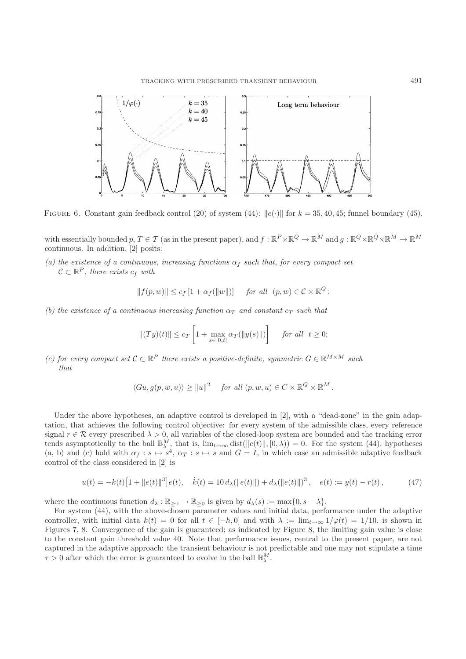

FIGURE 6. Constant gain feedback control (20) of system (44):  $||e(\cdot)||$  for  $k = 35, 40, 45$ ; funnel boundary (45).

with essentially bounded p,  $T \in \mathcal{T}$  (as in the present paper), and  $f : \mathbb{R}^P \times \mathbb{R}^Q \to \mathbb{R}^M$  and  $q : \mathbb{R}^Q \times \mathbb{R}^Q \times \mathbb{R}^M \to \mathbb{R}^M$ continuous. In addition, [2] posits:

(a) the existence of a continuous, increasing functions  $\alpha_f$  such that, for every compact set  $\mathcal{C} \subset \mathbb{R}^P$ , there exists  $c_f$  with

$$
|| f(p, w) || \leq c_f [1 + \alpha_f(||w||)] \quad \text{for all} \quad (p, w) \in \mathcal{C} \times \mathbb{R}^Q ;
$$

*(b) the existence of a continuous increasing function*  $\alpha_T$  *and constant*  $c_T$  *such that* 

$$
||(Ty)(t)|| \leq c_T \left[1 + \max_{s \in [0,t]} \alpha_T(||y(s)||)\right] \quad \text{ for all } \ t \geq 0;
$$

*(c) for every compact set*  $\mathcal{C} \subset \mathbb{R}^P$  *there exists a positive-definite, symmetric*  $G \in \mathbb{R}^{M \times M}$  *such that*

$$
\langle Gu, g(p, w, u) \rangle \ge ||u||^2 \quad \text{for all } (p, w, u) \in C \times \mathbb{R}^Q \times \mathbb{R}^M.
$$

Under the above hypotheses, an adaptive control is developed in [2], with a "dead-zone" in the gain adaptation, that achieves the following control objective: for every system of the admissible class, every reference signal  $r \in \mathcal{R}$  every prescribed  $\lambda > 0$ , all variables of the closed-loop system are bounded and the tracking error tends asymptotically to the ball  $\mathbb{B}_{\lambda}^{M}$ , that is,  $\lim_{t\to\infty}$  dist( $||e(t)||, [0, \lambda)$ ) = 0. For the system (44), hypotheses (a, b) and (c) hold with  $\alpha_f : s \mapsto s^4$ ,  $\alpha_T : s \mapsto s$  and  $G = I$ , in which case an admissible adaptive feedback control of the class considered in [2] is

$$
u(t) = -k(t)[1 + ||e(t)||^3]e(t), \quad \dot{x}(t) = 10 d_\lambda(||e(t)||) + d_\lambda(||e(t)||)^3, \quad e(t) := y(t) - r(t), \tag{47}
$$

where the continuous function  $d_{\lambda}: \mathbb{R}_{\geq 0} \to \mathbb{R}_{\geq 0}$  is given by  $d_{\lambda}(s) := \max\{0, s - \lambda\}.$ 

For system (44), with the above-chosen parameter values and initial data, performance under the adaptive controller, with initial data  $k(t) = 0$  for all  $t \in [-h, 0]$  and with  $\lambda := \lim_{t \to \infty} 1/\varphi(t) = 1/10$ , is shown in Figures 7, 8. Convergence of the gain is guaranteed; as indicated by Figure 8, the limiting gain value is close to the constant gain threshold value 40. Note that performance issues, central to the present paper, are not captured in the adaptive approach: the transient behaviour is not predictable and one may not stipulate a time  $\tau > 0$  after which the error is guaranteed to evolve in the ball  $\mathbb{B}_{\lambda}^{M}$ .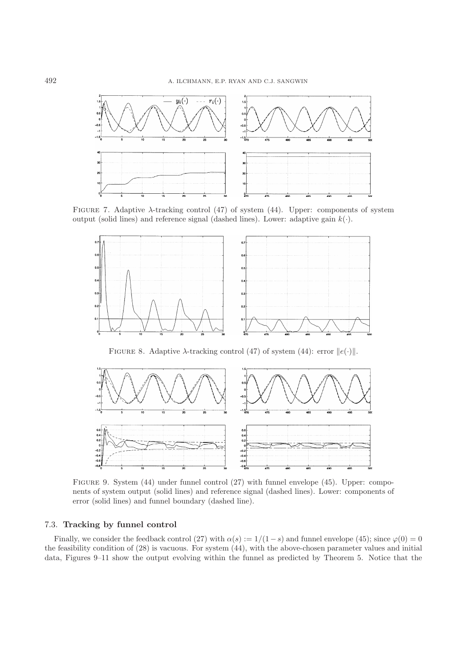

FIGURE 7. Adaptive  $\lambda$ -tracking control (47) of system (44). Upper: components of system output (solid lines) and reference signal (dashed lines). Lower: adaptive gain  $k(.)$ .



FIGURE 8. Adaptive  $\lambda$ -tracking control (47) of system (44): error  $||e(\cdot)||$ .



Figure 9. System (44) under funnel control (27) with funnel envelope (45). Upper: components of system output (solid lines) and reference signal (dashed lines). Lower: components of error (solid lines) and funnel boundary (dashed line).

# 7.3. **Tracking by funnel control**

Finally, we consider the feedback control (27) with  $\alpha(s) := 1/(1-s)$  and funnel envelope (45); since  $\varphi(0) = 0$ the feasibility condition of (28) is vacuous. For system (44), with the above-chosen parameter values and initial data, Figures 9–11 show the output evolving within the funnel as predicted by Theorem 5. Notice that the